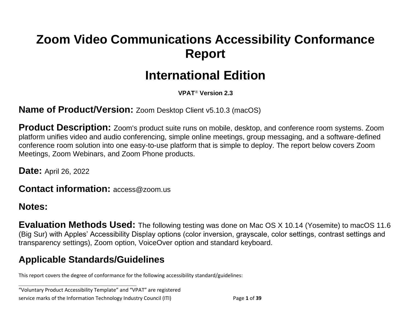# **Zoom Video Communications Accessibility Conformance Report**

# **International Edition**

**VPAT**® **Version 2.3**

**Name of Product/Version:** Zoom Desktop Client v5.10.3 (macOS)

**Product Description:** Zoom's product suite runs on mobile, desktop, and conference room systems. Zoom platform unifies video and audio conferencing, simple online meetings, group messaging, and a software-defined conference room solution into one easy-to-use platform that is simple to deploy. The report below covers Zoom Meetings, Zoom Webinars, and Zoom Phone products.

**Date:** April 26, 2022

**Contact information:** access@zoom.us

#### **Notes:**

**Evaluation Methods Used:** The following testing was done on Mac OS X 10.14 (Yosemite) to macOS 11.6 (Big Sur) with Apples' Accessibility Display options (color inversion, grayscale, color settings, contrast settings and transparency settings), Zoom option, VoiceOver option and standard keyboard.

### **Applicable Standards/Guidelines**

**\_\_\_\_\_\_\_\_\_\_\_\_\_\_\_\_\_\_\_\_\_\_\_\_\_\_\_\_\_\_\_\_\_\_**

This report covers the degree of conformance for the following accessibility standard/guidelines:

"Voluntary Product Accessibility Template" and "VPAT" are registered service marks of the Information Technology Industry Council (ITI) Page **1** of **39**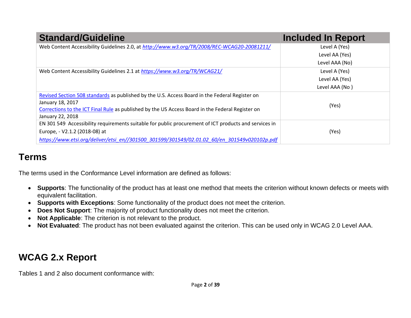| <b>Standard/Guideline</b>                                                                             | <b>Included In Report</b> |
|-------------------------------------------------------------------------------------------------------|---------------------------|
| Web Content Accessibility Guidelines 2.0, at http://www.w3.org/TR/2008/REC-WCAG20-20081211/           | Level A (Yes)             |
|                                                                                                       | Level AA (Yes)            |
|                                                                                                       | Level AAA (No)            |
| Web Content Accessibility Guidelines 2.1 at https://www.w3.org/TR/WCAG21/                             | Level A (Yes)             |
|                                                                                                       | Level AA (Yes)            |
|                                                                                                       | Level AAA (No)            |
| Revised Section 508 standards as published by the U.S. Access Board in the Federal Register on        |                           |
| January 18, 2017                                                                                      | (Yes)                     |
| Corrections to the ICT Final Rule as published by the US Access Board in the Federal Register on      |                           |
| January 22, 2018                                                                                      |                           |
| EN 301 549 Accessibility requirements suitable for public procurement of ICT products and services in |                           |
| Europe, - V2.1.2 (2018-08) at                                                                         | (Yes)                     |
| https://www.etsi.org/deliver/etsi_en//301500_301599/301549/02.01.02_60/en_301549v020102p.pdf          |                           |

## **Terms**

The terms used in the Conformance Level information are defined as follows:

- **Supports**: The functionality of the product has at least one method that meets the criterion without known defects or meets with equivalent facilitation.
- **Supports with Exceptions**: Some functionality of the product does not meet the criterion.
- **Does Not Support**: The majority of product functionality does not meet the criterion.
- **Not Applicable**: The criterion is not relevant to the product.
- **Not Evaluated**: The product has not been evaluated against the criterion. This can be used only in WCAG 2.0 Level AAA.

# **WCAG 2.x Report**

Tables 1 and 2 also document conformance with: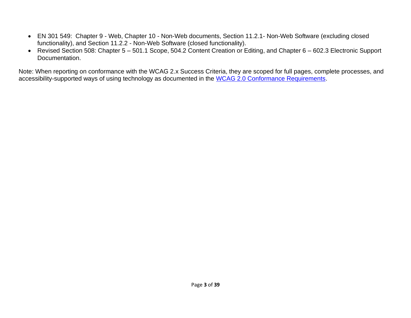- EN 301 549: Chapter 9 Web, Chapter 10 Non-Web documents, Section 11.2.1- Non-Web Software (excluding closed functionality), and Section 11.2.2 - Non-Web Software (closed functionality).
- Revised Section 508: Chapter 5 501.1 Scope, 504.2 Content Creation or Editing, and Chapter 6 602.3 Electronic Support Documentation.

Note: When reporting on conformance with the WCAG 2.x Success Criteria, they are scoped for full pages, complete processes, and accessibility-supported ways of using technology as documented in the [WCAG 2.0 Conformance Requirements.](https://www.w3.org/TR/WCAG20/#conformance-reqs)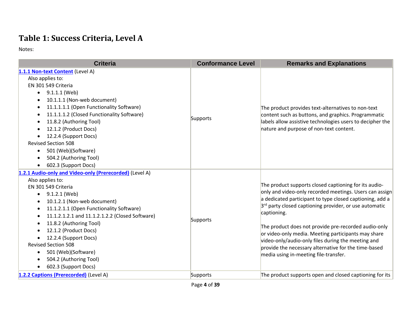### **Table 1: Success Criteria, Level A**

| <b>Criteria</b>                                                                                                                                                                                                                                                                                                                                                                                                                                    | <b>Conformance Level</b> | <b>Remarks and Explanations</b>                                                                                                                                                                                                                                                                                                                                                                                                                                                                                                         |
|----------------------------------------------------------------------------------------------------------------------------------------------------------------------------------------------------------------------------------------------------------------------------------------------------------------------------------------------------------------------------------------------------------------------------------------------------|--------------------------|-----------------------------------------------------------------------------------------------------------------------------------------------------------------------------------------------------------------------------------------------------------------------------------------------------------------------------------------------------------------------------------------------------------------------------------------------------------------------------------------------------------------------------------------|
| 1.1.1 Non-text Content (Level A)<br>Also applies to:<br>EN 301 549 Criteria                                                                                                                                                                                                                                                                                                                                                                        |                          |                                                                                                                                                                                                                                                                                                                                                                                                                                                                                                                                         |
| $\bullet$ 9.1.1.1 (Web)<br>10.1.1.1 (Non-web document)<br>11.1.1.1.1 (Open Functionality Software)<br>$\bullet$<br>11.1.1.1.2 (Closed Functionality Software)<br>11.8.2 (Authoring Tool)<br>12.1.2 (Product Docs)<br>12.2.4 (Support Docs)<br><b>Revised Section 508</b><br>501 (Web)(Software)<br>٠<br>504.2 (Authoring Tool)<br>602.3 (Support Docs)                                                                                             | Supports                 | The product provides text-alternatives to non-text<br>content such as buttons, and graphics. Programmatic<br>labels allow assistive technologies users to decipher the<br>nature and purpose of non-text content.                                                                                                                                                                                                                                                                                                                       |
| 1.2.1 Audio-only and Video-only (Prerecorded) (Level A)<br>Also applies to:<br>EN 301 549 Criteria<br>9.1.2.1 (Web)<br>$\bullet$<br>10.1.2.1 (Non-web document)<br>11.1.2.1.1 (Open Functionality Software)<br>11.1.2.1.2.1 and 11.1.2.1.2.2 (Closed Software)<br>11.8.2 (Authoring Tool)<br>12.1.2 (Product Docs)<br>12.2.4 (Support Docs)<br><b>Revised Section 508</b><br>501 (Web)(Software)<br>504.2 (Authoring Tool)<br>602.3 (Support Docs) | Supports                 | The product supports closed captioning for its audio-<br>only and video-only recorded meetings. Users can assign<br>a dedicated participant to type closed captioning, add a<br>3 <sup>rd</sup> party closed captioning provider, or use automatic<br>captioning.<br>The product does not provide pre-recorded audio-only<br>or video-only media. Meeting participants may share<br>video-only/audio-only files during the meeting and<br>provide the necessary alternative for the time-based<br>media using in-meeting file-transfer. |
| 1.2.2 Captions (Prerecorded) (Level A)                                                                                                                                                                                                                                                                                                                                                                                                             | Supports                 | The product supports open and closed captioning for its                                                                                                                                                                                                                                                                                                                                                                                                                                                                                 |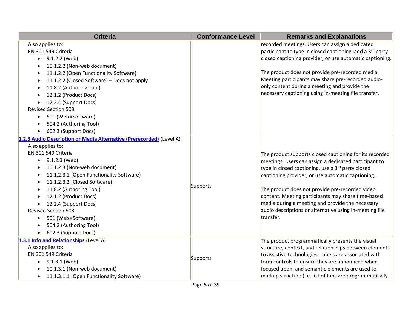| <b>Criteria</b>                                                                                                                                                                                                                                                                                                                                                                                                                                                     | <b>Conformance Level</b> | <b>Remarks and Explanations</b>                                                                                                                                                                                                                                                                                                                                                                                                                                             |
|---------------------------------------------------------------------------------------------------------------------------------------------------------------------------------------------------------------------------------------------------------------------------------------------------------------------------------------------------------------------------------------------------------------------------------------------------------------------|--------------------------|-----------------------------------------------------------------------------------------------------------------------------------------------------------------------------------------------------------------------------------------------------------------------------------------------------------------------------------------------------------------------------------------------------------------------------------------------------------------------------|
| Also applies to:<br>EN 301 549 Criteria<br>9.1.2.2 (Web)<br>$\bullet$<br>10.1.2.2 (Non-web document)<br>11.1.2.2 (Open Functionality Software)<br>$\bullet$<br>11.1.2.2 (Closed Software) - Does not apply<br>11.8.2 (Authoring Tool)<br>12.1.2 (Product Docs)<br>12.2.4 (Support Docs)<br><b>Revised Section 508</b><br>501 (Web)(Software)<br>$\bullet$<br>504.2 (Authoring Tool)<br>602.3 (Support Docs)<br>$\bullet$                                            |                          | recorded meetings. Users can assign a dedicated<br>participant to type in closed captioning, add a 3 <sup>rd</sup> party<br>closed captioning provider, or use automatic captioning.<br>The product does not provide pre-recorded media.<br>Meeting participants may share pre-recorded audio-<br>only content during a meeting and provide the<br>necessary captioning using in-meeting file transfer.                                                                     |
| 1.2.3 Audio Description or Media Alternative (Prerecorded) (Level A)<br>Also applies to:<br>EN 301 549 Criteria<br>$\bullet$ 9.1.2.3 (Web)<br>10.1.2.3 (Non-web document)<br>11.1.2.3.1 (Open Functionality Software)<br>11.1.2.3.2 (Closed Software)<br>11.8.2 (Authoring Tool)<br>$\bullet$<br>12.1.2 (Product Docs)<br>12.2.4 (Support Docs)<br><b>Revised Section 508</b><br>501 (Web)(Software)<br>$\bullet$<br>504.2 (Authoring Tool)<br>602.3 (Support Docs) | Supports                 | The product supports closed captioning for its recorded<br>meetings. Users can assign a dedicated participant to<br>type in closed captioning, use a 3 <sup>rd</sup> party closed<br>captioning provider, or use automatic captioning.<br>The product does not provide pre-recorded video<br>content. Meeting participants may share time-based<br>media during a meeting and provide the necessary<br>audio descriptions or alternative using in-meeting file<br>transfer. |
| 1.3.1 Info and Relationships (Level A)<br>Also applies to:<br>EN 301 549 Criteria<br>9.1.3.1 (Web)<br>$\bullet$<br>10.1.3.1 (Non-web document)<br>11.1.3.1.1 (Open Functionality Software)<br>$\bullet$                                                                                                                                                                                                                                                             | Supports                 | The product programmatically presents the visual<br>structure, context, and relationships between elements<br>to assistive technologies. Labels are associated with<br>form controls to ensure they are announced when<br>focused upon, and semantic elements are used to<br>markup structure (i.e. list of tabs are programmatically                                                                                                                                       |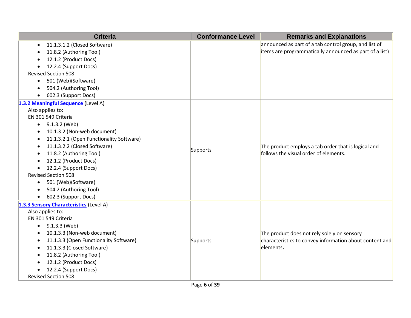| <b>Criteria</b>                               | <b>Conformance Level</b> | <b>Remarks and Explanations</b>                         |
|-----------------------------------------------|--------------------------|---------------------------------------------------------|
| 11.1.3.1.2 (Closed Software)<br>$\bullet$     |                          | announced as part of a tab control group, and list of   |
| 11.8.2 (Authoring Tool)                       |                          | items are programmatically announced as part of a list) |
| 12.1.2 (Product Docs)                         |                          |                                                         |
| 12.2.4 (Support Docs)                         |                          |                                                         |
| <b>Revised Section 508</b>                    |                          |                                                         |
| 501 (Web)(Software)<br>$\bullet$              |                          |                                                         |
| 504.2 (Authoring Tool)                        |                          |                                                         |
| 602.3 (Support Docs)                          |                          |                                                         |
| 1.3.2 Meaningful Sequence (Level A)           |                          |                                                         |
| Also applies to:                              |                          |                                                         |
| EN 301 549 Criteria                           |                          |                                                         |
| $\bullet$ 9.1.3.2 (Web)                       |                          |                                                         |
| 10.1.3.2 (Non-web document)                   |                          |                                                         |
| 11.1.3.2.1 (Open Functionality Software)<br>٠ |                          |                                                         |
| 11.1.3.2.2 (Closed Software)                  | Supports                 | The product employs a tab order that is logical and     |
| 11.8.2 (Authoring Tool)                       |                          | follows the visual order of elements.                   |
| 12.1.2 (Product Docs)                         |                          |                                                         |
| 12.2.4 (Support Docs)                         |                          |                                                         |
| <b>Revised Section 508</b>                    |                          |                                                         |
| 501 (Web)(Software)<br>$\bullet$              |                          |                                                         |
| 504.2 (Authoring Tool)                        |                          |                                                         |
| 602.3 (Support Docs)<br>$\bullet$             |                          |                                                         |
| 1.3.3 Sensory Characteristics (Level A)       |                          |                                                         |
| Also applies to:                              |                          |                                                         |
| EN 301 549 Criteria                           |                          |                                                         |
| 9.1.3.3 (Web)                                 |                          |                                                         |
| 10.1.3.3 (Non-web document)                   |                          | The product does not rely solely on sensory             |
| 11.1.3.3 (Open Functionality Software)<br>٠   | Supports                 | characteristics to convey information about content and |
| 11.1.3.3 (Closed Software)<br>$\bullet$       |                          | elements.                                               |
| 11.8.2 (Authoring Tool)                       |                          |                                                         |
| 12.1.2 (Product Docs)                         |                          |                                                         |
| 12.2.4 (Support Docs)                         |                          |                                                         |
| <b>Revised Section 508</b>                    |                          |                                                         |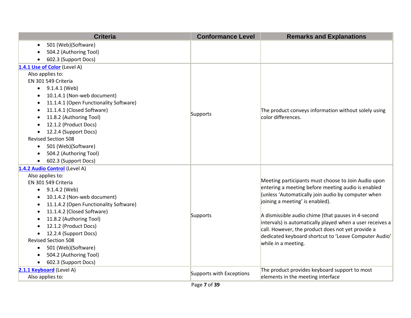| <b>Criteria</b>                        | <b>Conformance Level</b> | <b>Remarks and Explanations</b>                           |
|----------------------------------------|--------------------------|-----------------------------------------------------------|
| 501 (Web)(Software)                    |                          |                                                           |
| 504.2 (Authoring Tool)                 |                          |                                                           |
| 602.3 (Support Docs)                   |                          |                                                           |
| 1.4.1 Use of Color (Level A)           |                          |                                                           |
| Also applies to:                       |                          |                                                           |
| EN 301 549 Criteria                    |                          |                                                           |
| 9.1.4.1 (Web)<br>$\bullet$             |                          |                                                           |
| 10.1.4.1 (Non-web document)            |                          |                                                           |
| 11.1.4.1 (Open Functionality Software) |                          |                                                           |
| 11.1.4.1 (Closed Software)             | Supports                 | The product conveys information without solely using      |
| 11.8.2 (Authoring Tool)                |                          | color differences.                                        |
| 12.1.2 (Product Docs)                  |                          |                                                           |
| 12.2.4 (Support Docs)                  |                          |                                                           |
| <b>Revised Section 508</b>             |                          |                                                           |
| 501 (Web)(Software)<br>$\bullet$       |                          |                                                           |
| 504.2 (Authoring Tool)                 |                          |                                                           |
| 602.3 (Support Docs)                   |                          |                                                           |
| 1.4.2 Audio Control (Level A)          |                          |                                                           |
| Also applies to:                       |                          | Meeting participants must choose to Join Audio upon       |
| EN 301 549 Criteria                    |                          | entering a meeting before meeting audio is enabled        |
| $\bullet$ 9.1.4.2 (Web)                |                          | (unless 'Automatically join audio by computer when        |
| 10.1.4.2 (Non-web document)            |                          | joining a meeting' is enabled).                           |
| 11.1.4.2 (Open Functionality Software) |                          |                                                           |
| 11.1.4.2 (Closed Software)             | Supports                 | A dismissible audio chime (that pauses in 4-second        |
| 11.8.2 (Authoring Tool)                |                          | intervals) is automatically played when a user receives a |
| 12.1.2 (Product Docs)                  |                          | call. However, the product does not yet provide a         |
| 12.2.4 (Support Docs)                  |                          | dedicated keyboard shortcut to 'Leave Computer Audio'     |
| <b>Revised Section 508</b>             |                          | while in a meeting.                                       |
| 501 (Web)(Software)<br>٠               |                          |                                                           |
| 504.2 (Authoring Tool)                 |                          |                                                           |
| 602.3 (Support Docs)<br>$\bullet$      |                          |                                                           |
| 2.1.1 Keyboard (Level A)               | Supports with Exceptions | The product provides keyboard support to most             |
| Also applies to:                       |                          | elements in the meeting interface                         |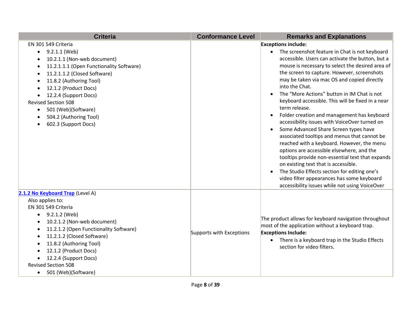| <b>Criteria</b>                                                                                                                                                                                                                                                                                                                                                            | <b>Conformance Level</b> | <b>Remarks and Explanations</b>                                                                                                                                                                                                                                                                                                                                                                                                                                                                                                                                                                                                                                                                                                                                                                                                                                                                                                                                                                               |
|----------------------------------------------------------------------------------------------------------------------------------------------------------------------------------------------------------------------------------------------------------------------------------------------------------------------------------------------------------------------------|--------------------------|---------------------------------------------------------------------------------------------------------------------------------------------------------------------------------------------------------------------------------------------------------------------------------------------------------------------------------------------------------------------------------------------------------------------------------------------------------------------------------------------------------------------------------------------------------------------------------------------------------------------------------------------------------------------------------------------------------------------------------------------------------------------------------------------------------------------------------------------------------------------------------------------------------------------------------------------------------------------------------------------------------------|
| EN 301 549 Criteria<br>9.2.1.1 (Web)<br>$\bullet$<br>10.2.1.1 (Non-web document)<br>11.2.1.1.1 (Open Functionality Software)<br>11.2.1.1.2 (Closed Software)<br>11.8.2 (Authoring Tool)<br>12.1.2 (Product Docs)<br>12.2.4 (Support Docs)<br>$\bullet$<br><b>Revised Section 508</b><br>501 (Web)(Software)<br>$\bullet$<br>504.2 (Authoring Tool)<br>602.3 (Support Docs) |                          | <b>Exceptions include:</b><br>The screenshot feature in Chat is not keyboard<br>accessible. Users can activate the button, but a<br>mouse is necessary to select the desired area of<br>the screen to capture. However, screenshots<br>may be taken via mac OS and copied directly<br>into the Chat.<br>The "More Actions" button in IM Chat is not<br>$\bullet$<br>keyboard accessible. This will be fixed in a near<br>term release.<br>Folder creation and management has keyboard<br>$\bullet$<br>accessibility issues with VoiceOver turned on<br>Some Advanced Share Screen types have<br>$\bullet$<br>associated tooltips and menus that cannot be<br>reached with a keyboard. However, the menu<br>options are accessible elsewhere, and the<br>tooltips provide non-essential text that expands<br>on existing text that is accessible.<br>The Studio Effects section for editing one's<br>$\bullet$<br>video filter appearances has some keyboard<br>accessibility issues while not using VoiceOver |
| 2.1.2 No Keyboard Trap (Level A)<br>Also applies to:<br>EN 301 549 Criteria<br>9.2.1.2 (Web)<br>10.2.1.2 (Non-web document)<br>11.2.1.2 (Open Functionality Software)<br>$\bullet$<br>11.2.1.2 (Closed Software)<br>11.8.2 (Authoring Tool)<br>12.1.2 (Product Docs)<br>12.2.4 (Support Docs)<br><b>Revised Section 508</b><br>501 (Web)(Software)<br>$\bullet$            | Supports with Exceptions | The product allows for keyboard navigation throughout<br>most of the application without a keyboard trap.<br><b>Exceptions Include:</b><br>There is a keyboard trap in the Studio Effects<br>section for video filters.                                                                                                                                                                                                                                                                                                                                                                                                                                                                                                                                                                                                                                                                                                                                                                                       |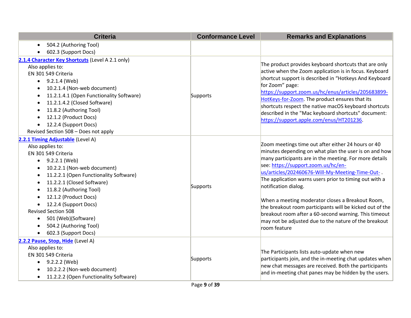| <b>Criteria</b>                                                                                                                                                                                                                                                                                                                                                                                                                                                                                                    | <b>Conformance Level</b> | <b>Remarks and Explanations</b>                                                                                                                                                                                                                                                                                                                                                                                                                                                                                                                                                                     |
|--------------------------------------------------------------------------------------------------------------------------------------------------------------------------------------------------------------------------------------------------------------------------------------------------------------------------------------------------------------------------------------------------------------------------------------------------------------------------------------------------------------------|--------------------------|-----------------------------------------------------------------------------------------------------------------------------------------------------------------------------------------------------------------------------------------------------------------------------------------------------------------------------------------------------------------------------------------------------------------------------------------------------------------------------------------------------------------------------------------------------------------------------------------------------|
| 504.2 (Authoring Tool)<br>$\bullet$                                                                                                                                                                                                                                                                                                                                                                                                                                                                                |                          |                                                                                                                                                                                                                                                                                                                                                                                                                                                                                                                                                                                                     |
| 602.3 (Support Docs)                                                                                                                                                                                                                                                                                                                                                                                                                                                                                               |                          |                                                                                                                                                                                                                                                                                                                                                                                                                                                                                                                                                                                                     |
| 2.1.4 Character Key Shortcuts (Level A 2.1 only)<br>Also applies to:<br>EN 301 549 Criteria<br>9.2.1.4 (Web)<br>$\bullet$<br>10.2.1.4 (Non-web document)<br>11.2.1.4.1 (Open Functionality Software)<br>$\bullet$<br>11.2.1.4.2 (Closed Software)<br>$\bullet$<br>11.8.2 (Authoring Tool)<br>$\bullet$<br>12.1.2 (Product Docs)<br>$\bullet$<br>12.2.4 (Support Docs)<br>$\bullet$<br>Revised Section 508 - Does not apply                                                                                         | Supports                 | The product provides keyboard shortcuts that are only<br>active when the Zoom application is in focus. Keyboard<br>shortcut support is described in "Hotkeys And Keyboard<br>for Zoom" page:<br>https://support.zoom.us/hc/enus/articles/205683899-<br>HotKeys-for-Zoom. The product ensures that its<br>shortcuts respect the native macOS keyboard shortcuts<br>described in the "Mac keyboard shortcuts" document:<br>https://support.apple.com/enus/HT201236.                                                                                                                                   |
| 2.2.1 Timing Adjustable (Level A)<br>Also applies to:<br>EN 301 549 Criteria<br>9.2.2.1 (Web)<br>$\bullet$<br>10.2.2.1 (Non-web document)<br>٠<br>11.2.2.1 (Open Functionality Software)<br>$\bullet$<br>11.2.2.1 (Closed Software)<br>$\bullet$<br>11.8.2 (Authoring Tool)<br>$\bullet$<br>12.1.2 (Product Docs)<br>$\bullet$<br>12.2.4 (Support Docs)<br>$\bullet$<br><b>Revised Section 508</b><br>501 (Web)(Software)<br>$\bullet$<br>504.2 (Authoring Tool)<br>$\bullet$<br>602.3 (Support Docs)<br>$\bullet$ | Supports                 | Zoom meetings time out after either 24 hours or 40<br>minutes depending on what plan the user is on and how<br>many participants are in the meeting. For more details<br>see: https://support.zoom.us/hc/en-<br>us/articles/202460676-Will-My-Meeting-Time-Out-<br>The application warns users prior to timing out with a<br>notification dialog.<br>When a meeting moderator closes a Breakout Room,<br>the breakout room participants will be kicked out of the<br>breakout room after a 60-second warning. This timeout<br>may not be adjusted due to the nature of the breakout<br>room feature |
| 2.2.2 Pause, Stop, Hide (Level A)<br>Also applies to:<br>EN 301 549 Criteria<br>9.2.2.2 (Web)<br>10.2.2.2 (Non-web document)<br>11.2.2.2 (Open Functionality Software)<br>$\bullet$                                                                                                                                                                                                                                                                                                                                | Supports                 | The Participants lists auto-update when new<br>participants join, and the in-meeting chat updates when<br>new chat messages are received. Both the participants<br>and in-meeting chat panes may be hidden by the users.                                                                                                                                                                                                                                                                                                                                                                            |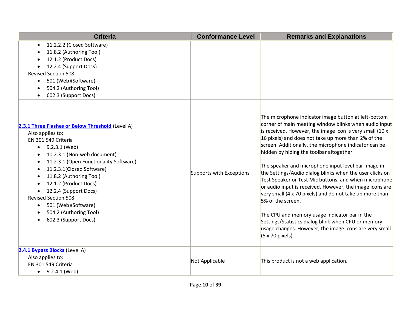| <b>Criteria</b>                                                                                                                                                                                                                                                                                                                                                                                                                  | <b>Conformance Level</b> | <b>Remarks and Explanations</b>                                                                                                                                                                                                                                                                                                                                                                                                                                                                                                                                                                                                                                                                                                                                                                                                                                   |
|----------------------------------------------------------------------------------------------------------------------------------------------------------------------------------------------------------------------------------------------------------------------------------------------------------------------------------------------------------------------------------------------------------------------------------|--------------------------|-------------------------------------------------------------------------------------------------------------------------------------------------------------------------------------------------------------------------------------------------------------------------------------------------------------------------------------------------------------------------------------------------------------------------------------------------------------------------------------------------------------------------------------------------------------------------------------------------------------------------------------------------------------------------------------------------------------------------------------------------------------------------------------------------------------------------------------------------------------------|
| 11.2.2.2 (Closed Software)<br>$\bullet$<br>11.8.2 (Authoring Tool)<br>12.1.2 (Product Docs)<br>12.2.4 (Support Docs)<br><b>Revised Section 508</b><br>501 (Web)(Software)<br>$\bullet$<br>504.2 (Authoring Tool)<br>602.3 (Support Docs)                                                                                                                                                                                         |                          |                                                                                                                                                                                                                                                                                                                                                                                                                                                                                                                                                                                                                                                                                                                                                                                                                                                                   |
| 2.3.1 Three Flashes or Below Threshold (Level A)<br>Also applies to:<br>EN 301 549 Criteria<br>9.2.3.1 (Web)<br>$\bullet$<br>10.2.3.1 (Non-web document)<br>11.2.3.1 (Open Functionality Software)<br>11.2.3.1(Closed Software)<br>11.8.2 (Authoring Tool)<br>12.1.2 (Product Docs)<br>12.2.4 (Support Docs)<br><b>Revised Section 508</b><br>501 (Web)(Software)<br>$\bullet$<br>504.2 (Authoring Tool)<br>602.3 (Support Docs) | Supports with Exceptions | The microphone indicator image button at left-bottom<br>corner of main meeting window blinks when audio input<br>is received. However, the image icon is very small (10 x<br>16 pixels) and does not take up more than 2% of the<br>screen. Additionally, the microphone indicator can be<br>hidden by hiding the toolbar altogether.<br>The speaker and microphone input level bar image in<br>the Settings/Audio dialog blinks when the user clicks on<br>Test Speaker or Test Mic buttons, and when microphone<br>or audio input is received. However, the image icons are<br>very small (4 x 70 pixels) and do not take up more than<br>5% of the screen.<br>The CPU and memory usage indicator bar in the<br>Settings/Statistics dialog blink when CPU or memory<br>usage changes. However, the image icons are very small<br>$(5 \times 70 \text{ pixels})$ |
| 2.4.1 Bypass Blocks (Level A)<br>Also applies to:<br>EN 301 549 Criteria<br>$\bullet$ 9.2.4.1 (Web)                                                                                                                                                                                                                                                                                                                              | Not Applicable           | This product is not a web application.                                                                                                                                                                                                                                                                                                                                                                                                                                                                                                                                                                                                                                                                                                                                                                                                                            |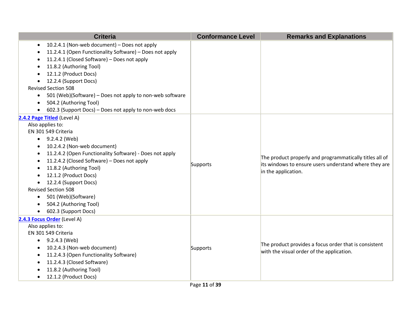| <b>Criteria</b>                                                                                                                                                                                                                                                                                                                                                                                                                                                                                    | <b>Conformance Level</b> | <b>Remarks and Explanations</b>                                                                                                         |
|----------------------------------------------------------------------------------------------------------------------------------------------------------------------------------------------------------------------------------------------------------------------------------------------------------------------------------------------------------------------------------------------------------------------------------------------------------------------------------------------------|--------------------------|-----------------------------------------------------------------------------------------------------------------------------------------|
| 10.2.4.1 (Non-web document) - Does not apply<br>$\bullet$<br>11.2.4.1 (Open Functionality Software) - Does not apply<br>11.2.4.1 (Closed Software) - Does not apply<br>11.8.2 (Authoring Tool)<br>12.1.2 (Product Docs)<br>12.2.4 (Support Docs)<br><b>Revised Section 508</b><br>501 (Web)(Software) - Does not apply to non-web software<br>$\bullet$<br>504.2 (Authoring Tool)<br>$\bullet$<br>602.3 (Support Docs) - Does not apply to non-web docs                                            |                          |                                                                                                                                         |
| 2.4.2 Page Titled (Level A)<br>Also applies to:<br>EN 301 549 Criteria<br>9.2.4.2 (Web)<br>$\bullet$<br>10.2.4.2 (Non-web document)<br>11.2.4.2 (Open Functionality Software) - Does not apply<br>$\bullet$<br>11.2.4.2 (Closed Software) - Does not apply<br>$\bullet$<br>11.8.2 (Authoring Tool)<br>12.1.2 (Product Docs)<br>12.2.4 (Support Docs)<br><b>Revised Section 508</b><br>501 (Web)(Software)<br>$\bullet$<br>504.2 (Authoring Tool)<br>$\bullet$<br>602.3 (Support Docs)<br>$\bullet$ | Supports                 | The product properly and programmatically titles all of<br>its windows to ensure users understand where they are<br>in the application. |
| 2.4.3 Focus Order (Level A)<br>Also applies to:<br>EN 301 549 Criteria<br>9.2.4.3 (Web)<br>$\bullet$<br>10.2.4.3 (Non-web document)<br>$\bullet$<br>11.2.4.3 (Open Functionality Software)<br>11.2.4.3 (Closed Software)<br>11.8.2 (Authoring Tool)<br>12.1.2 (Product Docs)                                                                                                                                                                                                                       | Supports                 | The product provides a focus order that is consistent<br>with the visual order of the application.                                      |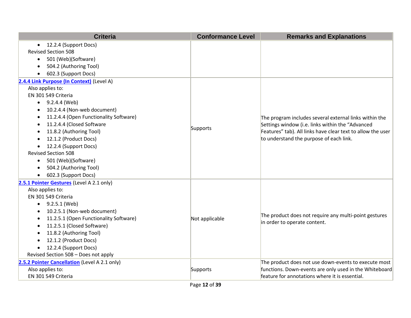| <b>Criteria</b>                               | <b>Conformance Level</b> | <b>Remarks and Explanations</b>                             |
|-----------------------------------------------|--------------------------|-------------------------------------------------------------|
| • 12.2.4 (Support Docs)                       |                          |                                                             |
| <b>Revised Section 508</b>                    |                          |                                                             |
| 501 (Web)(Software)<br>$\bullet$              |                          |                                                             |
| 504.2 (Authoring Tool)                        |                          |                                                             |
| 602.3 (Support Docs)                          |                          |                                                             |
| 2.4.4 Link Purpose (In Context) (Level A)     |                          |                                                             |
| Also applies to:                              |                          |                                                             |
| EN 301 549 Criteria                           |                          |                                                             |
| $\bullet$ 9.2.4.4 (Web)                       |                          |                                                             |
| 10.2.4.4 (Non-web document)                   |                          |                                                             |
| 11.2.4.4 (Open Functionality Software)        |                          | The program includes several external links within the      |
| 11.2.4.4 (Closed Software                     | Supports                 | Settings window (i.e. links within the "Advanced            |
| 11.8.2 (Authoring Tool)                       |                          | Features" tab). All links have clear text to allow the user |
| 12.1.2 (Product Docs)                         |                          | to understand the purpose of each link.                     |
| 12.2.4 (Support Docs)                         |                          |                                                             |
| <b>Revised Section 508</b>                    |                          |                                                             |
| 501 (Web)(Software)<br>$\bullet$              |                          |                                                             |
| 504.2 (Authoring Tool)                        |                          |                                                             |
| 602.3 (Support Docs)                          |                          |                                                             |
| 2.5.1 Pointer Gestures (Level A 2.1 only)     |                          |                                                             |
| Also applies to:                              |                          |                                                             |
| EN 301 549 Criteria                           |                          |                                                             |
| 9.2.5.1 (Web)<br>$\bullet$                    |                          |                                                             |
| 10.2.5.1 (Non-web document)                   |                          | The product does not require any multi-point gestures       |
| 11.2.5.1 (Open Functionality Software)        | Not applicable           | in order to operate content.                                |
| 11.2.5.1 (Closed Software)                    |                          |                                                             |
| 11.8.2 (Authoring Tool)                       |                          |                                                             |
| 12.1.2 (Product Docs)                         |                          |                                                             |
| 12.2.4 (Support Docs)<br>$\bullet$            |                          |                                                             |
| Revised Section 508 - Does not apply          |                          |                                                             |
| 2.5.2 Pointer Cancellation (Level A 2.1 only) |                          | The product does not use down-events to execute most        |
| Also applies to:                              | Supports                 | functions. Down-events are only used in the Whiteboard      |
| EN 301 549 Criteria                           |                          | feature for annotations where it is essential.              |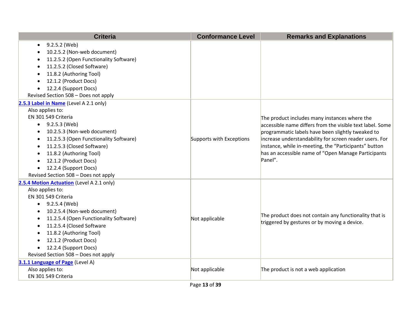| <b>Criteria</b>                                                                                                                                                                                                                                                                                                                                                | <b>Conformance Level</b> | <b>Remarks and Explanations</b>                                                                                                                                                                                                                                                                                                                       |
|----------------------------------------------------------------------------------------------------------------------------------------------------------------------------------------------------------------------------------------------------------------------------------------------------------------------------------------------------------------|--------------------------|-------------------------------------------------------------------------------------------------------------------------------------------------------------------------------------------------------------------------------------------------------------------------------------------------------------------------------------------------------|
| 9.2.5.2 (Web)<br>10.2.5.2 (Non-web document)<br>11.2.5.2 (Open Functionality Software)<br>11.2.5.2 (Closed Software)<br>11.8.2 (Authoring Tool)<br>12.1.2 (Product Docs)<br>12.2.4 (Support Docs)<br>Revised Section 508 - Does not apply                                                                                                                      |                          |                                                                                                                                                                                                                                                                                                                                                       |
| 2.5.3 Label in Name (Level A 2.1 only)<br>Also applies to:<br>EN 301 549 Criteria<br>• $9.2.5.3$ (Web)<br>10.2.5.3 (Non-web document)<br>11.2.5.3 (Open Functionality Software)<br>11.2.5.3 (Closed Software)<br>11.8.2 (Authoring Tool)<br>12.1.2 (Product Docs)<br>$\bullet$<br>12.2.4 (Support Docs)<br>$\bullet$<br>Revised Section 508 - Does not apply   | Supports with Exceptions | The product includes many instances where the<br>accessible name differs from the visible text label. Some<br>programmatic labels have been slightly tweaked to<br>increase understandability for screen reader users. For<br>instance, while in-meeting, the "Participants" button<br>has an accessible name of "Open Manage Participants<br>Panel". |
| 2.5.4 Motion Actuation (Level A 2.1 only)<br>Also applies to:<br>EN 301 549 Criteria<br>• $9.2.5.4$ (Web)<br>10.2.5.4 (Non-web document)<br>$\bullet$<br>11.2.5.4 (Open Functionality Software)<br>11.2.5.4 (Closed Software<br>11.8.2 (Authoring Tool)<br>12.1.2 (Product Docs)<br>12.2.4 (Support Docs)<br>$\bullet$<br>Revised Section 508 - Does not apply | Not applicable           | The product does not contain any functionality that is<br>triggered by gestures or by moving a device.                                                                                                                                                                                                                                                |
| 3.1.1 Language of Page (Level A)<br>Also applies to:<br>EN 301 549 Criteria                                                                                                                                                                                                                                                                                    | Not applicable           | The product is not a web application                                                                                                                                                                                                                                                                                                                  |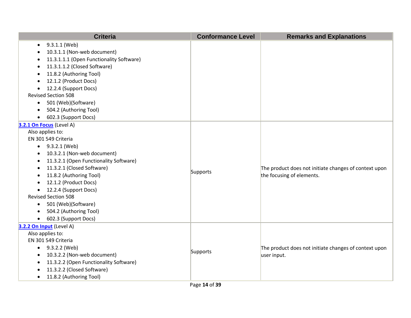| <b>Criteria</b>                                     | <b>Conformance Level</b> | <b>Remarks and Explanations</b>                       |
|-----------------------------------------------------|--------------------------|-------------------------------------------------------|
| 9.3.1.1 (Web)<br>$\bullet$                          |                          |                                                       |
| 10.3.1.1 (Non-web document)                         |                          |                                                       |
| 11.3.1.1.1 (Open Functionality Software)            |                          |                                                       |
| 11.3.1.1.2 (Closed Software)<br>$\bullet$           |                          |                                                       |
| 11.8.2 (Authoring Tool)<br>$\bullet$                |                          |                                                       |
| 12.1.2 (Product Docs)                               |                          |                                                       |
| 12.2.4 (Support Docs)                               |                          |                                                       |
| <b>Revised Section 508</b>                          |                          |                                                       |
| 501 (Web)(Software)<br>$\bullet$                    |                          |                                                       |
| 504.2 (Authoring Tool)                              |                          |                                                       |
| 602.3 (Support Docs)<br>$\bullet$                   |                          |                                                       |
| 3.2.1 On Focus (Level A)                            |                          |                                                       |
| Also applies to:                                    |                          |                                                       |
| EN 301 549 Criteria                                 |                          |                                                       |
| 9.3.2.1 (Web)<br>$\bullet$                          |                          |                                                       |
| 10.3.2.1 (Non-web document)<br>$\bullet$            |                          |                                                       |
| 11.3.2.1 (Open Functionality Software)<br>$\bullet$ |                          |                                                       |
| 11.3.2.1 (Closed Software)<br>$\bullet$             | Supports                 | The product does not initiate changes of context upon |
| 11.8.2 (Authoring Tool)                             |                          | the focusing of elements.                             |
| 12.1.2 (Product Docs)                               |                          |                                                       |
| 12.2.4 (Support Docs)<br>$\bullet$                  |                          |                                                       |
| <b>Revised Section 508</b>                          |                          |                                                       |
| 501 (Web)(Software)<br>$\bullet$                    |                          |                                                       |
| 504.2 (Authoring Tool)<br>$\bullet$                 |                          |                                                       |
| 602.3 (Support Docs)<br>$\bullet$                   |                          |                                                       |
| 3.2.2 On Input (Level A)                            |                          |                                                       |
| Also applies to:                                    |                          |                                                       |
| EN 301 549 Criteria                                 |                          |                                                       |
| $-9.3.2.2$ (Web)                                    | Supports                 | The product does not initiate changes of context upon |
| 10.3.2.2 (Non-web document)<br>$\bullet$            |                          | user input.                                           |
| 11.3.2.2 (Open Functionality Software)              |                          |                                                       |
| 11.3.2.2 (Closed Software)                          |                          |                                                       |
| 11.8.2 (Authoring Tool)<br>$\bullet$                |                          |                                                       |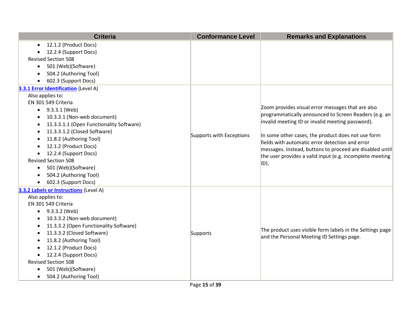|           | <b>Criteria</b>                          | <b>Conformance Level</b> | <b>Remarks and Explanations</b>                                                                                                                                                 |
|-----------|------------------------------------------|--------------------------|---------------------------------------------------------------------------------------------------------------------------------------------------------------------------------|
| $\bullet$ | 12.1.2 (Product Docs)                    |                          |                                                                                                                                                                                 |
|           | 12.2.4 (Support Docs)                    |                          |                                                                                                                                                                                 |
|           | <b>Revised Section 508</b>               |                          |                                                                                                                                                                                 |
| $\bullet$ | 501 (Web)(Software)                      |                          |                                                                                                                                                                                 |
|           | 504.2 (Authoring Tool)                   |                          |                                                                                                                                                                                 |
|           | 602.3 (Support Docs)                     |                          |                                                                                                                                                                                 |
|           | 3.3.1 Error Identification (Level A)     |                          |                                                                                                                                                                                 |
|           | Also applies to:                         |                          |                                                                                                                                                                                 |
|           | EN 301 549 Criteria                      |                          |                                                                                                                                                                                 |
| $\bullet$ | 9.3.3.1 (Web)                            |                          | Zoom provides visual error messages that are also                                                                                                                               |
|           | 10.3.3.1 (Non-web document)              |                          | programmatically announced to Screen Readers (e.g. an<br>invalid meeting ID or invalid meeting password).                                                                       |
| ٠         | 11.3.3.1.1 (Open Functionality Software) |                          |                                                                                                                                                                                 |
| ٠         | 11.3.3.1.2 (Closed Software)             | Supports with Exceptions | In some other cases, the product does not use form                                                                                                                              |
|           | 11.8.2 (Authoring Tool)                  |                          | fields with automatic error detection and error<br>messages. Instead, buttons to proceed are disabled until<br>the user provides a valid input (e.g. incomplete meeting<br>ID). |
|           | 12.1.2 (Product Docs)                    |                          |                                                                                                                                                                                 |
| ٠         | 12.2.4 (Support Docs)                    |                          |                                                                                                                                                                                 |
|           | <b>Revised Section 508</b>               |                          |                                                                                                                                                                                 |
| $\bullet$ | 501 (Web)(Software)                      |                          |                                                                                                                                                                                 |
|           | 504.2 (Authoring Tool)                   |                          |                                                                                                                                                                                 |
|           | 602.3 (Support Docs)                     |                          |                                                                                                                                                                                 |
|           | 3.3.2 Labels or Instructions (Level A)   |                          |                                                                                                                                                                                 |
|           | Also applies to:                         |                          |                                                                                                                                                                                 |
|           | EN 301 549 Criteria                      |                          |                                                                                                                                                                                 |
| $\bullet$ | 9.3.3.2 (Web)                            |                          |                                                                                                                                                                                 |
|           | 10.3.3.2 (Non-web document)              |                          |                                                                                                                                                                                 |
| ٠         | 11.3.3.2 (Open Functionality Software)   |                          | The product uses visible form labels in the Settings page                                                                                                                       |
| ٠         | 11.3.3.2 (Closed Software)               | Supports                 | and the Personal Meeting ID Settings page.                                                                                                                                      |
|           | 11.8.2 (Authoring Tool)                  |                          |                                                                                                                                                                                 |
|           | 12.1.2 (Product Docs)                    |                          |                                                                                                                                                                                 |
|           | 12.2.4 (Support Docs)                    |                          |                                                                                                                                                                                 |
|           | <b>Revised Section 508</b>               |                          |                                                                                                                                                                                 |
|           | 501 (Web)(Software)                      |                          |                                                                                                                                                                                 |
|           | 504.2 (Authoring Tool)                   |                          |                                                                                                                                                                                 |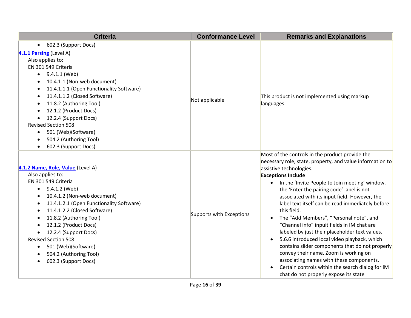| <b>Criteria</b>                                                                                                                                                                                                                                                                                                                                                                                                                     | <b>Conformance Level</b> | <b>Remarks and Explanations</b>                                                                                                                                                                                                                                                                                                                                                                                                                                                                                                                                                                                                                                                                                                                                                                                                                     |
|-------------------------------------------------------------------------------------------------------------------------------------------------------------------------------------------------------------------------------------------------------------------------------------------------------------------------------------------------------------------------------------------------------------------------------------|--------------------------|-----------------------------------------------------------------------------------------------------------------------------------------------------------------------------------------------------------------------------------------------------------------------------------------------------------------------------------------------------------------------------------------------------------------------------------------------------------------------------------------------------------------------------------------------------------------------------------------------------------------------------------------------------------------------------------------------------------------------------------------------------------------------------------------------------------------------------------------------------|
| 602.3 (Support Docs)<br>$\bullet$                                                                                                                                                                                                                                                                                                                                                                                                   |                          |                                                                                                                                                                                                                                                                                                                                                                                                                                                                                                                                                                                                                                                                                                                                                                                                                                                     |
| 4.1.1 Parsing (Level A)<br>Also applies to:<br>EN 301 549 Criteria<br>9.4.1.1 (Web)<br>10.4.1.1 (Non-web document)<br>11.4.1.1.1 (Open Functionality Software)<br>11.4.1.1.2 (Closed Software)<br>$\bullet$<br>11.8.2 (Authoring Tool)<br>12.1.2 (Product Docs)<br>12.2.4 (Support Docs)<br><b>Revised Section 508</b><br>501 (Web)(Software)<br>$\bullet$<br>504.2 (Authoring Tool)<br>602.3 (Support Docs)                        | Not applicable           | This product is not implemented using markup<br>languages.                                                                                                                                                                                                                                                                                                                                                                                                                                                                                                                                                                                                                                                                                                                                                                                          |
| 4.1.2 Name, Role, Value (Level A)<br>Also applies to:<br>EN 301 549 Criteria<br>9.4.1.2 (Web)<br>$\bullet$<br>10.4.1.2 (Non-web document)<br>11.4.1.2.1 (Open Functionality Software)<br>11.4.1.2.2 (Closed Software)<br>11.8.2 (Authoring Tool)<br>$\bullet$<br>12.1.2 (Product Docs)<br>12.2.4 (Support Docs)<br><b>Revised Section 508</b><br>501 (Web)(Software)<br>504.2 (Authoring Tool)<br>$\bullet$<br>602.3 (Support Docs) | Supports with Exceptions | Most of the controls in the product provide the<br>necessary role, state, property, and value information to<br>assistive technologies.<br><b>Exceptions Include:</b><br>In the 'Invite People to Join meeting' window,<br>the 'Enter the pairing code' label is not<br>associated with its input field. However, the<br>label text itself can be read immediately before<br>this field.<br>The "Add Members", "Personal note", and<br>$\bullet$<br>"Channel info" inpuit fields in IM chat are<br>labeled by just their placeholder text values.<br>5.6.6 introduced local video playback, which<br>$\bullet$<br>contains slider components that do not properly<br>convey their name. Zoom is working on<br>associating names with these components.<br>Certain controls within the search dialog for IM<br>chat do not properly expose its state |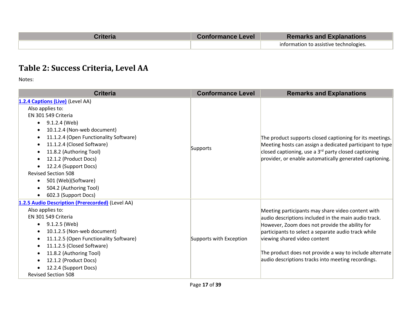| Criteria | <b>Conformance Level</b> | <b>Remarks and Explanations</b>        |
|----------|--------------------------|----------------------------------------|
|          |                          | information to assistive technologies. |

### **Table 2: Success Criteria, Level AA**

| <b>Criteria</b>                                  | <b>Conformance Level</b> | <b>Remarks and Explanations</b>                          |
|--------------------------------------------------|--------------------------|----------------------------------------------------------|
| 1.2.4 Captions (Live) (Level AA)                 |                          |                                                          |
| Also applies to:                                 |                          |                                                          |
| EN 301 549 Criteria                              |                          |                                                          |
| 9.1.2.4 (Web)<br>$\bullet$                       |                          |                                                          |
| 10.1.2.4 (Non-web document)                      |                          |                                                          |
| 11.1.2.4 (Open Functionality Software)           |                          | The product supports closed captioning for its meetings. |
| 11.1.2.4 (Closed Software)                       |                          | Meeting hosts can assign a dedicated participant to type |
| 11.8.2 (Authoring Tool)                          | Supports                 | closed captioning, use a $3rd$ party closed captioning   |
| 12.1.2 (Product Docs)                            |                          | provider, or enable automatically generated captioning.  |
| 12.2.4 (Support Docs)                            |                          |                                                          |
| <b>Revised Section 508</b>                       |                          |                                                          |
| 501 (Web)(Software)                              |                          |                                                          |
| 504.2 (Authoring Tool)                           |                          |                                                          |
| 602.3 (Support Docs)                             |                          |                                                          |
| 1.2.5 Audio Description (Prerecorded) (Level AA) |                          |                                                          |
| Also applies to:                                 |                          | Meeting participants may share video content with        |
| EN 301 549 Criteria                              |                          | audio descriptions included in the main audio track.     |
| 9.1.2.5 (Web)                                    |                          | However, Zoom does not provide the ability for           |
| 10.1.2.5 (Non-web document)                      |                          | participants to select a separate audio track while      |
| 11.1.2.5 (Open Functionality Software)           | Supports with Exception  | viewing shared video content                             |
| 11.1.2.5 (Closed Software)                       |                          |                                                          |
| 11.8.2 (Authoring Tool)                          |                          | The product does not provide a way to include alternate  |
| 12.1.2 (Product Docs)                            |                          | audio descriptions tracks into meeting recordings.       |
| 12.2.4 (Support Docs)                            |                          |                                                          |
| <b>Revised Section 508</b>                       |                          |                                                          |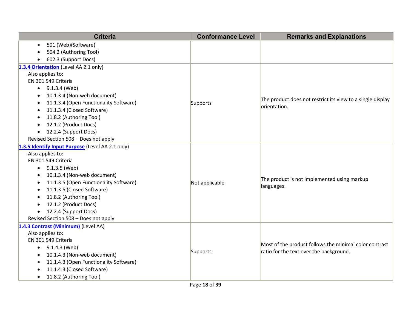| <b>Criteria</b>                                     | <b>Conformance Level</b> | <b>Remarks and Explanations</b>                                            |
|-----------------------------------------------------|--------------------------|----------------------------------------------------------------------------|
| 501 (Web)(Software)<br>$\bullet$                    |                          |                                                                            |
| 504.2 (Authoring Tool)                              |                          |                                                                            |
| 602.3 (Support Docs)<br>$\bullet$                   |                          |                                                                            |
| 1.3.4 Orientation (Level AA 2.1 only)               |                          |                                                                            |
| Also applies to:                                    |                          |                                                                            |
| EN 301 549 Criteria                                 |                          |                                                                            |
| 9.1.3.4 (Web)<br>$\bullet$                          |                          |                                                                            |
| 10.1.3.4 (Non-web document)<br>$\bullet$            |                          |                                                                            |
| 11.1.3.4 (Open Functionality Software)<br>$\bullet$ | Supports                 | The product does not restrict its view to a single display<br>orientation. |
| 11.1.3.4 (Closed Software)<br>$\bullet$             |                          |                                                                            |
| 11.8.2 (Authoring Tool)<br>$\bullet$                |                          |                                                                            |
| 12.1.2 (Product Docs)<br>$\bullet$                  |                          |                                                                            |
| 12.2.4 (Support Docs)<br>$\bullet$                  |                          |                                                                            |
| Revised Section 508 - Does not apply                |                          |                                                                            |
| 1.3.5 Identify Input Purpose (Level AA 2.1 only)    |                          |                                                                            |
| Also applies to:                                    |                          |                                                                            |
| EN 301 549 Criteria                                 |                          | The product is not implemented using markup<br>languages.                  |
| $\bullet$ 9.1.3.5 (Web)                             |                          |                                                                            |
| 10.1.3.4 (Non-web document)<br>$\bullet$            |                          |                                                                            |
| 11.1.3.5 (Open Functionality Software)<br>$\bullet$ | Not applicable           |                                                                            |
| 11.1.3.5 (Closed Software)<br>$\bullet$             |                          |                                                                            |
| 11.8.2 (Authoring Tool)<br>$\bullet$                |                          |                                                                            |
| 12.1.2 (Product Docs)<br>$\bullet$                  |                          |                                                                            |
| 12.2.4 (Support Docs)<br>$\bullet$                  |                          |                                                                            |
| Revised Section 508 - Does not apply                |                          |                                                                            |
| 1.4.3 Contrast (Minimum) (Level AA)                 |                          |                                                                            |
| Also applies to:                                    |                          |                                                                            |
| EN 301 549 Criteria                                 |                          | Most of the product follows the minimal color contrast                     |
| $\bullet$ 9.1.4.3 (Web)                             | Supports                 | ratio for the text over the background.                                    |
| 10.1.4.3 (Non-web document)<br>$\bullet$            |                          |                                                                            |
| 11.1.4.3 (Open Functionality Software)<br>$\bullet$ |                          |                                                                            |
| 11.1.4.3 (Closed Software)                          |                          |                                                                            |
| 11.8.2 (Authoring Tool)<br>$\bullet$                |                          |                                                                            |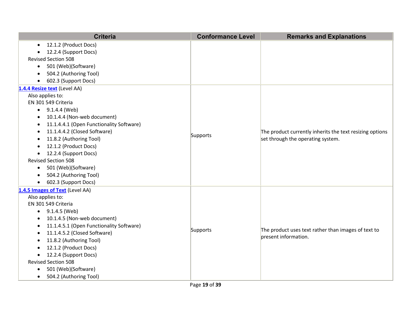|           | <b>Criteria</b>                          | <b>Conformance Level</b> | <b>Remarks and Explanations</b>                                                               |
|-----------|------------------------------------------|--------------------------|-----------------------------------------------------------------------------------------------|
| $\bullet$ | 12.1.2 (Product Docs)                    |                          |                                                                                               |
| ٠         | 12.2.4 (Support Docs)                    |                          |                                                                                               |
|           | <b>Revised Section 508</b>               |                          |                                                                                               |
| $\bullet$ | 501 (Web)(Software)                      |                          |                                                                                               |
| $\bullet$ | 504.2 (Authoring Tool)                   |                          |                                                                                               |
| $\bullet$ | 602.3 (Support Docs)                     |                          |                                                                                               |
|           | 1.4.4 Resize text (Level AA)             |                          |                                                                                               |
|           | Also applies to:                         |                          |                                                                                               |
|           | EN 301 549 Criteria                      |                          |                                                                                               |
| $\bullet$ | 9.1.4.4 (Web)                            |                          |                                                                                               |
| $\bullet$ | 10.1.4.4 (Non-web document)              |                          |                                                                                               |
| ٠         | 11.1.4.4.1 (Open Functionality Software) |                          | The product currently inherits the text resizing options<br>set through the operating system. |
|           | 11.1.4.4.2 (Closed Software)             | Supports                 |                                                                                               |
| ٠         | 11.8.2 (Authoring Tool)                  |                          |                                                                                               |
| $\bullet$ | 12.1.2 (Product Docs)                    |                          |                                                                                               |
| $\bullet$ | 12.2.4 (Support Docs)                    |                          |                                                                                               |
|           | <b>Revised Section 508</b>               |                          |                                                                                               |
| $\bullet$ | 501 (Web)(Software)                      |                          |                                                                                               |
| $\bullet$ | 504.2 (Authoring Tool)                   |                          |                                                                                               |
| $\bullet$ | 602.3 (Support Docs)                     |                          |                                                                                               |
|           | 1.4.5 Images of Text (Level AA)          |                          |                                                                                               |
|           | Also applies to:                         |                          |                                                                                               |
|           | EN 301 549 Criteria                      |                          |                                                                                               |
| $\bullet$ | 9.1.4.5 (Web)                            |                          |                                                                                               |
| ٠         | 10.1.4.5 (Non-web document)              |                          |                                                                                               |
| $\bullet$ | 11.1.4.5.1 (Open Functionality Software) | Supports                 | The product uses text rather than images of text to                                           |
| ٠         | 11.1.4.5.2 (Closed Software)             |                          | present information.                                                                          |
| ٠         | 11.8.2 (Authoring Tool)                  |                          |                                                                                               |
| $\bullet$ | 12.1.2 (Product Docs)                    |                          |                                                                                               |
| $\bullet$ | 12.2.4 (Support Docs)                    |                          |                                                                                               |
|           | <b>Revised Section 508</b>               |                          |                                                                                               |
| $\bullet$ | 501 (Web)(Software)                      |                          |                                                                                               |
| $\bullet$ | 504.2 (Authoring Tool)                   |                          |                                                                                               |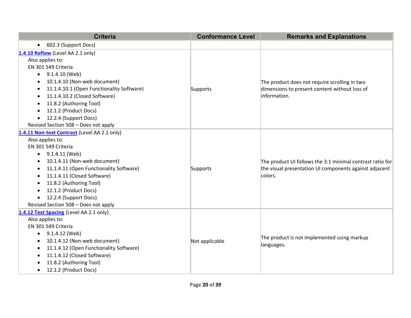| <b>Criteria</b>                                      | <b>Conformance Level</b> | <b>Remarks and Explanations</b>                           |
|------------------------------------------------------|--------------------------|-----------------------------------------------------------|
| 602.3 (Support Docs)<br>$\bullet$                    |                          |                                                           |
| 1.4.10 Reflow (Level AA 2.1 only)                    |                          |                                                           |
| Also applies to:                                     |                          |                                                           |
| EN 301 549 Criteria                                  |                          |                                                           |
| 9.1.4.10 (Web)<br>$\bullet$                          |                          |                                                           |
| 10.1.4.10 (Non-web document)<br>$\bullet$            |                          | The product does not require scrolling in two             |
| 11.1.4.10.1 (Open Functionality Software)<br>٠       | Supports                 | dimensions to present content without loss of             |
| 11.1.4.10.2 (Closed Software)<br>$\bullet$           |                          | information.                                              |
| 11.8.2 (Authoring Tool)<br>$\bullet$                 |                          |                                                           |
| 12.1.2 (Product Docs)<br>$\bullet$                   |                          |                                                           |
| 12.2.4 (Support Docs)<br>$\bullet$                   |                          |                                                           |
| Revised Section 508 - Does not apply                 |                          |                                                           |
| 1.4.11 Non-text Contrast (Level AA 2.1 only)         |                          |                                                           |
| Also applies to:                                     |                          |                                                           |
| EN 301 549 Criteria                                  |                          |                                                           |
| 9.1.4.11 (Web)<br>$\bullet$                          |                          |                                                           |
| 10.1.4.11 (Non-web document)<br>$\bullet$            |                          | The product UI follows the 3:1 minimal contrast ratio for |
| 11.1.4.11 (Open Functionality Software)<br>$\bullet$ | Supports                 | the visual presentation UI components against adjacent    |
| 11.1.4.11 (Closed Software)<br>$\bullet$             |                          | colors.                                                   |
| 11.8.2 (Authoring Tool)<br>٠                         |                          |                                                           |
| 12.1.2 (Product Docs)<br>$\bullet$                   |                          |                                                           |
| 12.2.4 (Support Docs)<br>$\bullet$                   |                          |                                                           |
| Revised Section 508 - Does not apply                 |                          |                                                           |
| 1.4.12 Text Spacing (Level AA 2.1 only)              |                          |                                                           |
| Also applies to:                                     |                          |                                                           |
| EN 301 549 Criteria                                  |                          |                                                           |
| 9.1.4.12 (Web)<br>$\bullet$                          |                          | The product is not implemented using markup               |
| 10.1.4.12 (Non-web document)<br>$\bullet$            | Not applicable           | languages.                                                |
| 11.1.4.12 (Open Functionality Software)<br>٠         |                          |                                                           |
| 11.1.4.12 (Closed Software)<br>$\bullet$             |                          |                                                           |
| 11.8.2 (Authoring Tool)                              |                          |                                                           |
| 12.1.2 (Product Docs)<br>$\bullet$                   |                          |                                                           |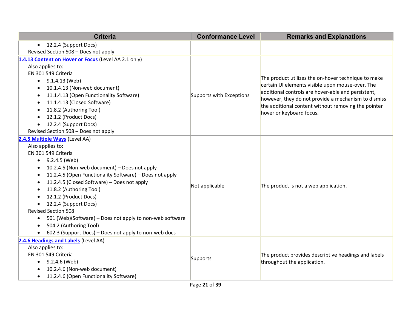| <b>Criteria</b>                                                       | <b>Conformance Level</b> | <b>Remarks and Explanations</b>                                                                            |
|-----------------------------------------------------------------------|--------------------------|------------------------------------------------------------------------------------------------------------|
| 12.2.4 (Support Docs)<br>$\bullet$                                    |                          |                                                                                                            |
| Revised Section 508 - Does not apply                                  |                          |                                                                                                            |
| 1.4.13 Content on Hover or Focus (Level AA 2.1 only)                  |                          |                                                                                                            |
| Also applies to:                                                      |                          | The product utilizes the on-hover technique to make<br>certain UI elements visible upon mouse-over. The    |
| EN 301 549 Criteria                                                   |                          |                                                                                                            |
| 9.1.4.13 (Web)<br>$\bullet$                                           |                          |                                                                                                            |
| 10.1.4.13 (Non-web document)<br>$\bullet$                             |                          |                                                                                                            |
| 11.1.4.13 (Open Functionality Software)<br>$\bullet$                  | Supports with Exceptions | additional controls are hover-able and persistent,                                                         |
| 11.1.4.13 (Closed Software)<br>$\bullet$                              |                          | however, they do not provide a mechanism to dismiss<br>the additional content without removing the pointer |
| 11.8.2 (Authoring Tool)<br>$\bullet$                                  |                          | hover or keyboard focus.                                                                                   |
| 12.1.2 (Product Docs)<br>$\bullet$                                    |                          |                                                                                                            |
| 12.2.4 (Support Docs)                                                 |                          |                                                                                                            |
| Revised Section 508 - Does not apply                                  |                          |                                                                                                            |
| 2.4.5 Multiple Ways (Level AA)                                        |                          |                                                                                                            |
| Also applies to:                                                      |                          | The product is not a web application.                                                                      |
| EN 301 549 Criteria                                                   |                          |                                                                                                            |
| 9.2.4.5 (Web)<br>$\bullet$                                            | Not applicable           |                                                                                                            |
| 10.2.4.5 (Non-web document) - Does not apply                          |                          |                                                                                                            |
| 11.2.4.5 (Open Functionality Software) - Does not apply<br>$\bullet$  |                          |                                                                                                            |
| 11.2.4.5 (Closed Software) - Does not apply<br>$\bullet$              |                          |                                                                                                            |
| 11.8.2 (Authoring Tool)<br>$\bullet$                                  |                          |                                                                                                            |
| 12.1.2 (Product Docs)                                                 |                          |                                                                                                            |
| 12.2.4 (Support Docs)                                                 |                          |                                                                                                            |
| <b>Revised Section 508</b>                                            |                          |                                                                                                            |
| 501 (Web)(Software) – Does not apply to non-web software<br>$\bullet$ |                          |                                                                                                            |
| 504.2 (Authoring Tool)<br>$\bullet$                                   |                          |                                                                                                            |
| 602.3 (Support Docs) - Does not apply to non-web docs<br>$\bullet$    |                          |                                                                                                            |
| 2.4.6 Headings and Labels (Level AA)                                  |                          |                                                                                                            |
| Also applies to:                                                      |                          |                                                                                                            |
| EN 301 549 Criteria                                                   | Supports                 | The product provides descriptive headings and labels                                                       |
| 9.2.4.6 (Web)<br>$\bullet$                                            |                          | throughout the application.                                                                                |
| 10.2.4.6 (Non-web document)                                           |                          |                                                                                                            |
| 11.2.4.6 (Open Functionality Software)                                |                          |                                                                                                            |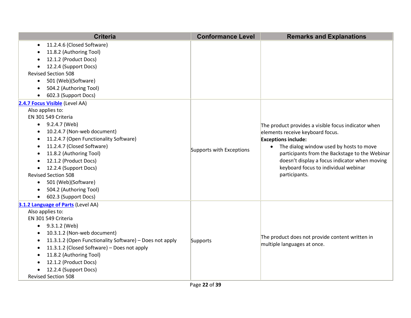| <b>Criteria</b>                                                      | <b>Conformance Level</b> | <b>Remarks and Explanations</b>                                                                                                                                                                                                                                       |
|----------------------------------------------------------------------|--------------------------|-----------------------------------------------------------------------------------------------------------------------------------------------------------------------------------------------------------------------------------------------------------------------|
| 11.2.4.6 (Closed Software)<br>$\bullet$                              |                          |                                                                                                                                                                                                                                                                       |
| 11.8.2 (Authoring Tool)                                              |                          |                                                                                                                                                                                                                                                                       |
| 12.1.2 (Product Docs)                                                |                          |                                                                                                                                                                                                                                                                       |
| 12.2.4 (Support Docs)<br>$\bullet$                                   |                          |                                                                                                                                                                                                                                                                       |
| <b>Revised Section 508</b>                                           |                          |                                                                                                                                                                                                                                                                       |
| 501 (Web)(Software)<br>$\bullet$                                     |                          |                                                                                                                                                                                                                                                                       |
| 504.2 (Authoring Tool)                                               |                          |                                                                                                                                                                                                                                                                       |
| 602.3 (Support Docs)                                                 |                          |                                                                                                                                                                                                                                                                       |
| 2.4.7 Focus Visible (Level AA)                                       |                          |                                                                                                                                                                                                                                                                       |
| Also applies to:                                                     |                          |                                                                                                                                                                                                                                                                       |
| EN 301 549 Criteria                                                  |                          |                                                                                                                                                                                                                                                                       |
| 9.2.4.7 (Web)<br>$\bullet$                                           |                          | The product provides a visible focus indicator when                                                                                                                                                                                                                   |
| 10.2.4.7 (Non-web document)                                          |                          | elements receive keyboard focus.<br><b>Exceptions include:</b><br>The dialog window used by hosts to move<br>participants from the Backstage to the Webinar<br>doesn't display a focus indicator when moving<br>keyboard focus to individual webinar<br>participants. |
| 11.2.4.7 (Open Functionality Software)<br>$\bullet$                  |                          |                                                                                                                                                                                                                                                                       |
| 11.2.4.7 (Closed Software)<br>$\bullet$                              | Supports with Exceptions |                                                                                                                                                                                                                                                                       |
| 11.8.2 (Authoring Tool)<br>$\bullet$                                 |                          |                                                                                                                                                                                                                                                                       |
| 12.1.2 (Product Docs)<br>$\bullet$                                   |                          |                                                                                                                                                                                                                                                                       |
| 12.2.4 (Support Docs)                                                |                          |                                                                                                                                                                                                                                                                       |
| <b>Revised Section 508</b>                                           |                          |                                                                                                                                                                                                                                                                       |
| 501 (Web)(Software)<br>$\bullet$                                     |                          |                                                                                                                                                                                                                                                                       |
| 504.2 (Authoring Tool)                                               |                          |                                                                                                                                                                                                                                                                       |
| 602.3 (Support Docs)<br>$\bullet$                                    |                          |                                                                                                                                                                                                                                                                       |
| 3.1.2 Language of Parts (Level AA)                                   |                          |                                                                                                                                                                                                                                                                       |
| Also applies to:                                                     |                          |                                                                                                                                                                                                                                                                       |
| EN 301 549 Criteria                                                  |                          |                                                                                                                                                                                                                                                                       |
| 9.3.1.2 (Web)                                                        |                          |                                                                                                                                                                                                                                                                       |
| 10.3.1.2 (Non-web document)<br>$\bullet$                             |                          | The product does not provide content written in                                                                                                                                                                                                                       |
| 11.3.1.2 (Open Functionality Software) - Does not apply<br>$\bullet$ | Supports                 | multiple languages at once.                                                                                                                                                                                                                                           |
| 11.3.1.2 (Closed Software) - Does not apply<br>$\bullet$             |                          |                                                                                                                                                                                                                                                                       |
| 11.8.2 (Authoring Tool)                                              |                          |                                                                                                                                                                                                                                                                       |
| 12.1.2 (Product Docs)                                                |                          |                                                                                                                                                                                                                                                                       |
| 12.2.4 (Support Docs)                                                |                          |                                                                                                                                                                                                                                                                       |
| <b>Revised Section 508</b>                                           |                          |                                                                                                                                                                                                                                                                       |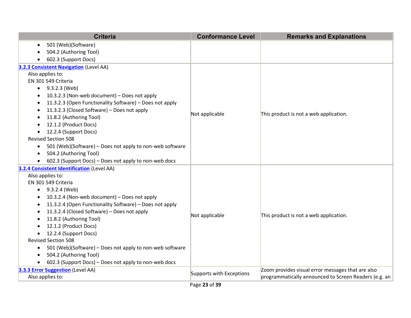| <b>Criteria</b>                                                                                         | <b>Conformance Level</b> | <b>Remarks and Explanations</b>                                                                            |
|---------------------------------------------------------------------------------------------------------|--------------------------|------------------------------------------------------------------------------------------------------------|
| 501 (Web)(Software)                                                                                     |                          |                                                                                                            |
| 504.2 (Authoring Tool)                                                                                  |                          |                                                                                                            |
| 602.3 (Support Docs)                                                                                    |                          |                                                                                                            |
| 3.2.3 Consistent Navigation (Level AA)                                                                  |                          |                                                                                                            |
| Also applies to:                                                                                        |                          |                                                                                                            |
| EN 301 549 Criteria                                                                                     |                          |                                                                                                            |
| $\bullet$ 9.3.2.3 (Web)                                                                                 |                          |                                                                                                            |
| 10.3.2.3 (Non-web document) - Does not apply                                                            |                          |                                                                                                            |
| 11.3.2.3 (Open Functionality Software) - Does not apply                                                 |                          |                                                                                                            |
| 11.3.2.3 (Closed Software) - Does not apply                                                             | Not applicable           | This product is not a web application.                                                                     |
| 11.8.2 (Authoring Tool)<br>$\bullet$                                                                    |                          |                                                                                                            |
| 12.1.2 (Product Docs)                                                                                   |                          |                                                                                                            |
| 12.2.4 (Support Docs)<br>$\bullet$                                                                      |                          |                                                                                                            |
| <b>Revised Section 508</b>                                                                              |                          |                                                                                                            |
| 501 (Web)(Software) - Does not apply to non-web software<br>$\bullet$                                   |                          |                                                                                                            |
| 504.2 (Authoring Tool)                                                                                  |                          |                                                                                                            |
| 602.3 (Support Docs) - Does not apply to non-web docs                                                   |                          |                                                                                                            |
| 3.2.4 Consistent Identification (Level AA)                                                              |                          |                                                                                                            |
| Also applies to:                                                                                        |                          |                                                                                                            |
| EN 301 549 Criteria                                                                                     |                          |                                                                                                            |
| $\bullet$ 9.3.2.4 (Web)                                                                                 |                          |                                                                                                            |
| 10.3.2.4 (Non-web document) - Does not apply                                                            |                          |                                                                                                            |
| 11.3.2.4 (Open Functionality Software) - Does not apply                                                 |                          |                                                                                                            |
| 11.3.2.4 (Closed Software) - Does not apply                                                             | Not applicable           | This product is not a web application.                                                                     |
| 11.8.2 (Authoring Tool)<br>$\bullet$                                                                    |                          |                                                                                                            |
| 12.1.2 (Product Docs)                                                                                   |                          |                                                                                                            |
| 12.2.4 (Support Docs)<br>$\bullet$                                                                      |                          |                                                                                                            |
| <b>Revised Section 508</b>                                                                              |                          |                                                                                                            |
| 501 (Web)(Software) - Does not apply to non-web software<br>$\bullet$<br>504.2 (Authoring Tool)         |                          |                                                                                                            |
| $\bullet$                                                                                               |                          |                                                                                                            |
| 602.3 (Support Docs) - Does not apply to non-web docs<br>$\bullet$<br>3.3.3 Error Suggestion (Level AA) |                          |                                                                                                            |
| Also applies to:                                                                                        | Supports with Exceptions | Zoom provides visual error messages that are also<br>programmatically announced to Screen Readers (e.g. an |
|                                                                                                         |                          |                                                                                                            |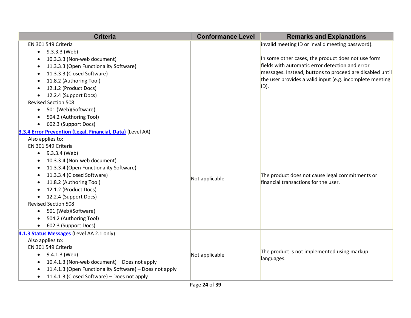| <b>Criteria</b>                                                   | <b>Conformance Level</b>     | <b>Remarks and Explanations</b>                          |
|-------------------------------------------------------------------|------------------------------|----------------------------------------------------------|
| EN 301 549 Criteria                                               |                              | invalid meeting ID or invalid meeting password).         |
| 9.3.3.3 (Web)<br>$\bullet$                                        |                              |                                                          |
| 10.3.3.3 (Non-web document)                                       |                              | In some other cases, the product does not use form       |
| 11.3.3.3 (Open Functionality Software)                            |                              | fields with automatic error detection and error          |
| 11.3.3.3 (Closed Software)                                        |                              | messages. Instead, buttons to proceed are disabled until |
| 11.8.2 (Authoring Tool)                                           |                              | the user provides a valid input (e.g. incomplete meeting |
| 12.1.2 (Product Docs)                                             |                              | ID).                                                     |
| 12.2.4 (Support Docs)                                             |                              |                                                          |
| <b>Revised Section 508</b>                                        |                              |                                                          |
| 501 (Web)(Software)<br>$\bullet$                                  |                              |                                                          |
| 504.2 (Authoring Tool)<br>$\bullet$                               |                              |                                                          |
| 602.3 (Support Docs)                                              |                              |                                                          |
| 3.3.4 <b>Error Prevention (Legal, Financial, Data)</b> (Level AA) |                              |                                                          |
| Also applies to:                                                  |                              |                                                          |
| EN 301 549 Criteria                                               |                              |                                                          |
| $\bullet$ 9.3.3.4 (Web)                                           |                              |                                                          |
| 10.3.3.4 (Non-web document)                                       |                              |                                                          |
| 11.3.3.4 (Open Functionality Software)                            |                              |                                                          |
| 11.3.3.4 (Closed Software)                                        |                              | The product does not cause legal commitments or          |
| 11.8.2 (Authoring Tool)                                           | Not applicable               | financial transactions for the user.                     |
| 12.1.2 (Product Docs)                                             |                              |                                                          |
| 12.2.4 (Support Docs)<br>$\bullet$                                |                              |                                                          |
| <b>Revised Section 508</b>                                        |                              |                                                          |
| 501 (Web)(Software)<br>$\bullet$                                  |                              |                                                          |
| 504.2 (Authoring Tool)                                            |                              |                                                          |
| 602.3 (Support Docs)                                              |                              |                                                          |
| 4.1.3 Status Messages (Level AA 2.1 only)                         |                              |                                                          |
| Also applies to:                                                  |                              |                                                          |
| EN 301 549 Criteria                                               |                              |                                                          |
| 9.4.1.3 (Web)                                                     | Not applicable<br>languages. | The product is not implemented using markup              |
| 10.4.1.3 (Non-web document) - Does not apply                      |                              |                                                          |
| 11.4.1.3 (Open Functionality Software) - Does not apply           |                              |                                                          |
| 11.4.1.3 (Closed Software) - Does not apply<br>$\bullet$          |                              |                                                          |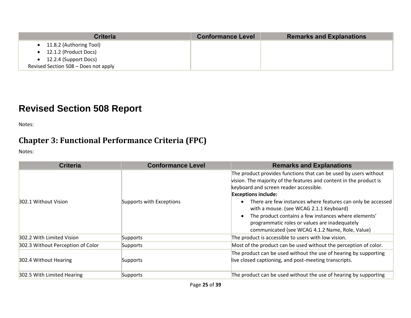| <b>Criteria</b>                      | <b>Conformance Level</b> | <b>Remarks and Explanations</b> |
|--------------------------------------|--------------------------|---------------------------------|
| 11.8.2 (Authoring Tool)              |                          |                                 |
| 12.1.2 (Product Docs)                |                          |                                 |
| 12.2.4 (Support Docs)                |                          |                                 |
| Revised Section 508 - Does not apply |                          |                                 |

# **Revised Section 508 Report**

Notes:

### **Chapter 3: Functional Performance Criteria (FPC)**

| <b>Criteria</b>                   | <b>Conformance Level</b> | <b>Remarks and Explanations</b>                                                                                                                                                                                                                                                                                                                                                                                                                                                      |
|-----------------------------------|--------------------------|--------------------------------------------------------------------------------------------------------------------------------------------------------------------------------------------------------------------------------------------------------------------------------------------------------------------------------------------------------------------------------------------------------------------------------------------------------------------------------------|
| 302.1 Without Vision              | Supports with Exceptions | The product provides functions that can be used by users without<br>vision. The majority of the features and content in the product is<br>keyboard and screen reader accessible.<br><b>Exceptions include:</b><br>There are few instances where features can only be accessed<br>with a mouse. (see WCAG 2.1.1 Keyboard)<br>The product contains a few instances where elements'<br>programmatic roles or values are inadequately<br>communicated (see WCAG 4.1.2 Name, Role, Value) |
| 302.2 With Limited Vision         | Supports                 | The product is accessible to users with low vision.                                                                                                                                                                                                                                                                                                                                                                                                                                  |
| 302.3 Without Perception of Color | Supports                 | Most of the product can be used without the perception of color.                                                                                                                                                                                                                                                                                                                                                                                                                     |
| 302.4 Without Hearing             | Supports                 | The product can be used without the use of hearing by supporting<br>live closed captioning, and post-meeting transcripts.                                                                                                                                                                                                                                                                                                                                                            |
| 302.5 With Limited Hearing        | Supports                 | The product can be used without the use of hearing by supporting                                                                                                                                                                                                                                                                                                                                                                                                                     |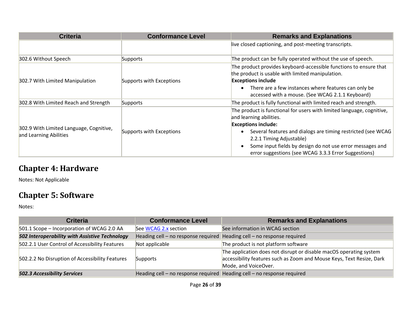| <b>Criteria</b>                                                   | <b>Conformance Level</b> | <b>Remarks and Explanations</b>                                                                                                                                                                                                                                                                                                                 |  |
|-------------------------------------------------------------------|--------------------------|-------------------------------------------------------------------------------------------------------------------------------------------------------------------------------------------------------------------------------------------------------------------------------------------------------------------------------------------------|--|
|                                                                   |                          | live closed captioning, and post-meeting transcripts.                                                                                                                                                                                                                                                                                           |  |
| 302.6 Without Speech                                              | Supports                 | The product can be fully operated without the use of speech.                                                                                                                                                                                                                                                                                    |  |
| 302.7 With Limited Manipulation                                   | Supports with Exceptions | The product provides keyboard-accessible functions to ensure that<br>the product is usable with limited manipulation.<br><b>Exceptions include</b><br>There are a few instances where features can only be<br>accessed with a mouse. (See WCAG 2.1.1 Keyboard)                                                                                  |  |
| 302.8 With Limited Reach and Strength                             | Supports                 | The product is fully functional with limited reach and strength.                                                                                                                                                                                                                                                                                |  |
| 302.9 With Limited Language, Cognitive,<br>and Learning Abilities | Supports with Exceptions | The product is functional for users with limited language, cognitive,<br>and learning abilities.<br><b>Exceptions include:</b><br>Several features and dialogs are timing restricted (see WCAG<br>2.2.1 Timing Adjustable)<br>Some input fields by design do not use error messages and<br>error suggestions (see WCAG 3.3.3 Error Suggestions) |  |

### **Chapter 4: Hardware**

Notes: Not Applicable

### **Chapter 5: Software**

| <b>Criteria</b>                                 | <b>Conformance Level</b>                                                | <b>Remarks and Explanations</b>                                                                                                                                     |  |
|-------------------------------------------------|-------------------------------------------------------------------------|---------------------------------------------------------------------------------------------------------------------------------------------------------------------|--|
| 501.1 Scope - Incorporation of WCAG 2.0 AA      | See WCAG 2.x section                                                    | See information in WCAG section                                                                                                                                     |  |
| 502 Interoperability with Assistive Technology  | Heading cell - no response required                                     | Heading cell - no response required                                                                                                                                 |  |
| 502.2.1 User Control of Accessibility Features  | Not applicable                                                          | The product is not platform software                                                                                                                                |  |
| 502.2.2 No Disruption of Accessibility Features | Supports                                                                | The application does not disrupt or disable macOS operating system<br>accessibility features such as Zoom and Mouse Keys, Text Resize, Dark<br>Mode, and VoiceOver. |  |
| <b>502.3 Accessibility Services</b>             | Heading cell – no response required Heading cell – no response required |                                                                                                                                                                     |  |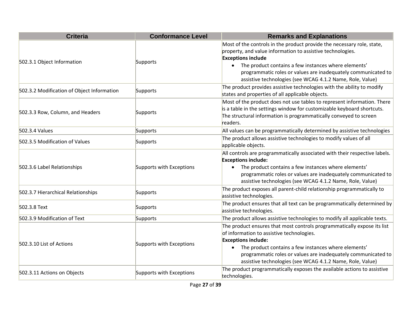| <b>Criteria</b>                            | <b>Conformance Level</b> | <b>Remarks and Explanations</b>                                                                                                                                                                                                                                                                                                                         |
|--------------------------------------------|--------------------------|---------------------------------------------------------------------------------------------------------------------------------------------------------------------------------------------------------------------------------------------------------------------------------------------------------------------------------------------------------|
| 502.3.1 Object Information                 | Supports                 | Most of the controls in the product provide the necessary role, state,<br>property, and value information to assistive technologies.<br><b>Exceptions include</b><br>The product contains a few instances where elements'<br>programmatic roles or values are inadequately communicated to<br>assistive technologies (see WCAG 4.1.2 Name, Role, Value) |
| 502.3.2 Modification of Object Information | Supports                 | The product provides assistive technologies with the ability to modify<br>states and properties of all applicable objects.                                                                                                                                                                                                                              |
| 502.3.3 Row, Column, and Headers           | Supports                 | Most of the product does not use tables to represent information. There<br>is a table in the settings window for customizable keyboard shortcuts.<br>The structural information is programmatically conveyed to screen<br>readers.                                                                                                                      |
| 502.3.4 Values                             | Supports                 | All values can be programmatically determined by assistive technologies                                                                                                                                                                                                                                                                                 |
| 502.3.5 Modification of Values             | Supports                 | The product allows assistive technologies to modify values of all<br>applicable objects.                                                                                                                                                                                                                                                                |
| 502.3.6 Label Relationships                | Supports with Exceptions | All controls are programmatically associated with their respective labels.<br><b>Exceptions include:</b><br>• The product contains a few instances where elements'<br>programmatic roles or values are inadequately communicated to<br>assistive technologies (see WCAG 4.1.2 Name, Role, Value)                                                        |
| 502.3.7 Hierarchical Relationships         | Supports                 | The product exposes all parent-child relationship programmatically to<br>assistive technologies.                                                                                                                                                                                                                                                        |
| 502.3.8 Text                               | Supports                 | The product ensures that all text can be programmatically determined by<br>assistive technologies.                                                                                                                                                                                                                                                      |
| 502.3.9 Modification of Text               | Supports                 | The product allows assistive technologies to modify all applicable texts.                                                                                                                                                                                                                                                                               |
| 502.3.10 List of Actions                   | Supports with Exceptions | The product ensures that most controls programmatically expose its list<br>of information to assistive technologies.<br><b>Exceptions include:</b><br>The product contains a few instances where elements'<br>programmatic roles or values are inadequately communicated to<br>assistive technologies (see WCAG 4.1.2 Name, Role, Value)                |
| 502.3.11 Actions on Objects                | Supports with Exceptions | The product programmatically exposes the available actions to assistive<br>technologies.                                                                                                                                                                                                                                                                |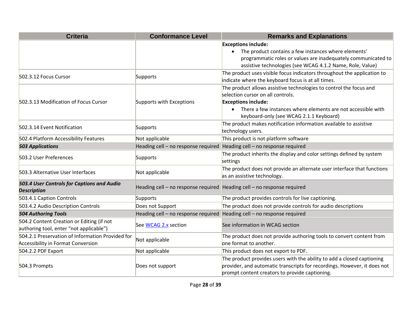| <b>Criteria</b>                                                                      | <b>Conformance Level</b>            | <b>Remarks and Explanations</b>                                                                         |
|--------------------------------------------------------------------------------------|-------------------------------------|---------------------------------------------------------------------------------------------------------|
|                                                                                      |                                     | <b>Exceptions include:</b>                                                                              |
|                                                                                      |                                     | The product contains a few instances where elements'                                                    |
|                                                                                      |                                     | programmatic roles or values are inadequately communicated to                                           |
|                                                                                      |                                     | assistive technologies (see WCAG 4.1.2 Name, Role, Value)                                               |
| 502.3.12 Focus Cursor                                                                | Supports                            | The product uses visible focus indicators throughout the application to                                 |
|                                                                                      |                                     | indicate where the keyboard focus is at all times.                                                      |
|                                                                                      |                                     | The product allows assistive technologies to control the focus and                                      |
|                                                                                      |                                     | selection cursor on all controls.                                                                       |
| 502.3.13 Modification of Focus Cursor                                                | Supports with Exceptions            | <b>Exceptions include:</b>                                                                              |
|                                                                                      |                                     | There a few instances where elements are not accessible with<br>keyboard-only (see WCAG 2.1.1 Keyboard) |
| 502.3.14 Event Notification                                                          |                                     | The product makes notification information available to assistive                                       |
|                                                                                      | Supports                            | technology users.                                                                                       |
| 502.4 Platform Accessibility Features                                                | Not applicable                      | This product is not platform software                                                                   |
| <b>503 Applications</b>                                                              | Heading cell - no response required | Heading cell - no response required                                                                     |
| 503.2 User Preferences                                                               | Supports                            | The product inherits the display and color settings defined by system<br>settings                       |
| 503.3 Alternative User Interfaces                                                    | Not applicable                      | The product does not provide an alternate user interface that functions<br>as an assistive technology.  |
| 503.4 User Controls for Captions and Audio<br><b>Description</b>                     | Heading cell - no response required | Heading cell - no response required                                                                     |
| 503.4.1 Caption Controls                                                             | Supports                            | The product provides controls for live captioning.                                                      |
| 503.4.2 Audio Description Controls                                                   | Does not Support                    | The product does not provide controls for audio descriptions                                            |
| <b>504 Authoring Tools</b>                                                           | Heading cell - no response required | Heading cell - no response required                                                                     |
| 504.2 Content Creation or Editing (if not<br>authoring tool, enter "not applicable") | See WCAG 2.x section                | See information in WCAG section                                                                         |
| 504.2.1 Preservation of Information Provided for                                     | Not applicable                      | The product does not provide authoring tools to convert content from                                    |
| <b>Accessibility in Format Conversion</b>                                            |                                     | one format to another.                                                                                  |
| 504.2.2 PDF Export                                                                   | Not applicable                      | This product does not export to PDF.                                                                    |
|                                                                                      |                                     | The product provides users with the ability to add a closed captioning                                  |
| 504.3 Prompts                                                                        | Does not support                    | provider, and automatic transcripts for recordings. However, it does not                                |
|                                                                                      |                                     | prompt content creators to provide captioning.                                                          |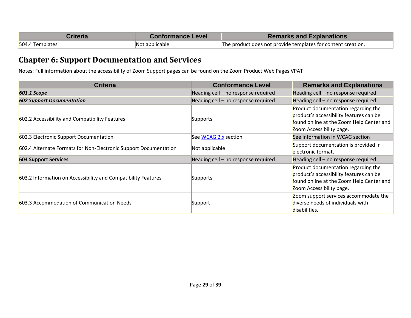| Criteria        | <b>Conformance Level</b> | <b>Remarks and Explanations</b>                              |
|-----------------|--------------------------|--------------------------------------------------------------|
| 504.4 Templates | Not applicable           | The product does not provide templates for content creation. |

### **Chapter 6: Support Documentation and Services**

Notes: Full information about the accessibility of Zoom Support pages can be found on the Zoom Product Web Pages VPAT

| <b>Criteria</b>                                                  | <b>Conformance Level</b>            | <b>Remarks and Explanations</b>                                                                                                                        |
|------------------------------------------------------------------|-------------------------------------|--------------------------------------------------------------------------------------------------------------------------------------------------------|
| <b>601.1 Scope</b>                                               | Heading cell - no response required | Heading cell - no response required                                                                                                                    |
| <b>602 Support Documentation</b>                                 | Heading cell - no response required | Heading cell - no response required                                                                                                                    |
| 602.2 Accessibility and Compatibility Features                   | Supports                            | Product documentation regarding the<br>product's accessibility features can be<br>found online at the Zoom Help Center and<br>Zoom Accessibility page. |
| 602.3 Electronic Support Documentation                           | See WCAG 2.x section                | See information in WCAG section                                                                                                                        |
| 602.4 Alternate Formats for Non-Electronic Support Documentation | Not applicable                      | Support documentation is provided in<br>electronic format.                                                                                             |
| <b>603 Support Services</b>                                      | Heading cell - no response required | Heading cell - no response required                                                                                                                    |
| 603.2 Information on Accessibility and Compatibility Features    | Supports                            | Product documentation regarding the<br>product's accessibility features can be<br>found online at the Zoom Help Center and<br>Zoom Accessibility page. |
| 603.3 Accommodation of Communication Needs                       | Support                             | Zoom support services accommodate the<br>diverse needs of individuals with<br>disabilities.                                                            |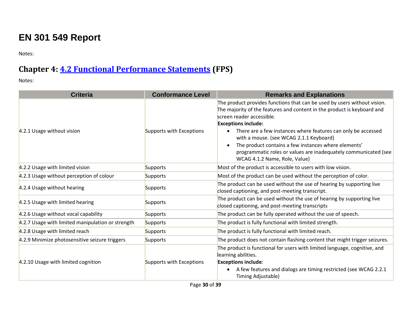# **EN 301 549 Report**

Notes:

# **Chapter 4: [4.2 Functional Performance Statements](http://www.etsi.org/deliver/etsi_en/301500_301599/301549/01.01.02_60/en_301549v010102p.pdf#page=22) (FPS)**

| <b>Criteria</b>                                   | <b>Conformance Level</b> | <b>Remarks and Explanations</b>                                                                                                                                                                                                                                                 |
|---------------------------------------------------|--------------------------|---------------------------------------------------------------------------------------------------------------------------------------------------------------------------------------------------------------------------------------------------------------------------------|
| 4.2.1 Usage without vision                        | Supports with Exceptions | The product provides functions that can be used by users without vision.<br>The majority of the features and content in the product is keyboard and<br>screen reader accessible.<br><b>Exceptions include:</b><br>There are a few instances where features can only be accessed |
|                                                   |                          | with a mouse. (see WCAG 2.1.1 Keyboard)<br>The product contains a few instances where elements'<br>programmatic roles or values are inadequately communicated (see<br>WCAG 4.1.2 Name, Role, Value)                                                                             |
| 4.2.2 Usage with limited vision                   | Supports                 | Most of the product is accessible to users with low vision.                                                                                                                                                                                                                     |
| 4.2.3 Usage without perception of colour          | Supports                 | Most of the product can be used without the perception of color.                                                                                                                                                                                                                |
| 4.2.4 Usage without hearing                       | Supports                 | The product can be used without the use of hearing by supporting live<br>closed captioning, and post-meeting transcript.                                                                                                                                                        |
| 4.2.5 Usage with limited hearing                  | Supports                 | The product can be used without the use of hearing by supporting live<br>closed captioning, and post-meeting transcripts                                                                                                                                                        |
| 4.2.6 Usage without vocal capability              | Supports                 | The product can be fully operated without the use of speech.                                                                                                                                                                                                                    |
| 4.2.7 Usage with limited manipulation or strength | Supports                 | The product is fully functional with limited strength.                                                                                                                                                                                                                          |
| 4.2.8 Usage with limited reach                    | Supports                 | The product is fully functional with limited reach.                                                                                                                                                                                                                             |
| 4.2.9 Minimize photosensitive seizure triggers    | Supports                 | The product does not contain flashing content that might trigger seizures.                                                                                                                                                                                                      |
| 4.2.10 Usage with limited cognition               | Supports with Exceptions | The product is functional for users with limited language, cognitive, and<br>learning abilities.<br><b>Exceptions include:</b><br>A few features and dialogs are timing restricted (see WCAG 2.2.1<br>Timing Adjustable)                                                        |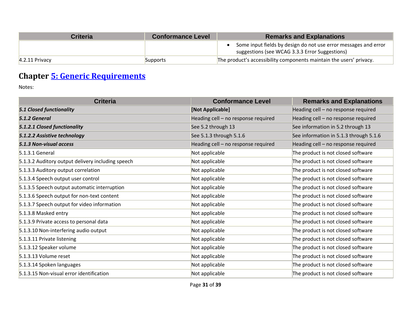| Criteria         | <b>Conformance Level</b> | <b>Remarks and Explanations</b>                                                                                   |
|------------------|--------------------------|-------------------------------------------------------------------------------------------------------------------|
|                  |                          | Some input fields by design do not use error messages and error<br>suggestions (see WCAG 3.3.3 Error Suggestions) |
| $4.2.11$ Privacy | Supports                 | The product's accessibility components maintain the users' privacy.                                               |

# **Chapter [5: Generic Requirements](http://www.etsi.org/deliver/etsi_en/301500_301599/301549/01.01.02_60/en_301549v010102p.pdf#page=23)**

| <b>Criteria</b>                                   | <b>Conformance Level</b>            | <b>Remarks and Explanations</b>        |
|---------------------------------------------------|-------------------------------------|----------------------------------------|
| <b>5.1 Closed functionality</b>                   | [Not Applicable]                    | Heading cell - no response required    |
| 5.1.2 General                                     | Heading cell - no response required | Heading cell - no response required    |
| 5.1.2.1 Closed functionality                      | See 5.2 through 13                  | See information in 5.2 through 13      |
| 5.1.2.2 Assistive technology                      | See 5.1.3 through 5.1.6             | See information in 5.1.3 through 5.1.6 |
| 5.1.3 Non-visual access                           | Heading cell - no response required | Heading cell - no response required    |
| $5.1.3.1$ General                                 | Not applicable                      | The product is not closed software     |
| 5.1.3.2 Auditory output delivery including speech | Not applicable                      | The product is not closed software     |
| 5.1.3.3 Auditory output correlation               | Not applicable                      | The product is not closed software     |
| 5.1.3.4 Speech output user control                | Not applicable                      | The product is not closed software     |
| 5.1.3.5 Speech output automatic interruption      | Not applicable                      | The product is not closed software     |
| 5.1.3.6 Speech output for non-text content        | Not applicable                      | The product is not closed software     |
| 5.1.3.7 Speech output for video information       | Not applicable                      | The product is not closed software     |
| 5.1.3.8 Masked entry                              | Not applicable                      | The product is not closed software     |
| 5.1.3.9 Private access to personal data           | Not applicable                      | The product is not closed software     |
| 5.1.3.10 Non-interfering audio output             | Not applicable                      | The product is not closed software     |
| 5.1.3.11 Private listening                        | Not applicable                      | The product is not closed software     |
| 5.1.3.12 Speaker volume                           | Not applicable                      | The product is not closed software     |
| 5.1.3.13 Volume reset                             | Not applicable                      | The product is not closed software     |
| 5.1.3.14 Spoken languages                         | Not applicable                      | The product is not closed software     |
| 5.1.3.15 Non-visual error identification          | Not applicable                      | The product is not closed software     |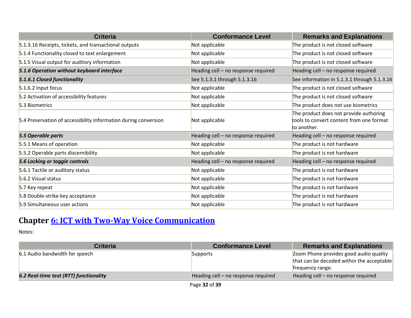| <b>Criteria</b>                                                 | <b>Conformance Level</b>            | <b>Remarks and Explanations</b>                                                                   |
|-----------------------------------------------------------------|-------------------------------------|---------------------------------------------------------------------------------------------------|
| 5.1.3.16 Receipts, tickets, and transactional outputs           | Not applicable                      | The product is not closed software                                                                |
| 5.1.4 Functionality closed to text enlargement                  | Not applicable                      | The product is not closed software                                                                |
| 5.1.5 Visual output for auditory information                    | Not applicable                      | The product is not closed software                                                                |
| 5.1.6 Operation without keyboard interface                      | Heading cell - no response required | Heading cell - no response required                                                               |
| 5.1.6.1 Closed functionality                                    | See 5.1.3.1 through 5.1.3.16        | See information in 5.1.3.1 through 5.1.3.16                                                       |
| 5.1.6.2 Input focus                                             | Not applicable                      | The product is not closed software                                                                |
| 5.2 Activation of accessibility features                        | Not applicable                      | The product is not closed software                                                                |
| 5.3 Biometrics                                                  | Not applicable                      | The product does not use biometrics                                                               |
| 5.4 Preservation of accessibility information during conversion | Not applicable                      | The product does not provide authoring<br>tools to convert content from one format<br>to another. |
| 5.5 Operable parts                                              | Heading cell - no response required | Heading cell - no response required                                                               |
| 5.5.1 Means of operation                                        | Not applicable                      | The product is not hardware                                                                       |
| 5.5.2 Operable parts discernibility                             | Not applicable                      | The product is not hardware                                                                       |
| 5.6 Locking or toggle controls                                  | Heading cell - no response required | Heading cell - no response required                                                               |
| 5.6.1 Tactile or auditory status                                | Not applicable                      | The product is not hardware                                                                       |
| 5.6.2 Visual status                                             | Not applicable                      | The product is not hardware                                                                       |
| 5.7 Key repeat                                                  | Not applicable                      | The product is not hardware                                                                       |
| 5.8 Double-strike key acceptance                                | Not applicable                      | The product is not hardware                                                                       |
| 5.9 Simultaneous user actions                                   | Not applicable                      | The product is not hardware                                                                       |

# **Chapter [6: ICT with Two-Way Voice Communication](http://www.etsi.org/deliver/etsi_en/301500_301599/301549/01.01.02_60/en_301549v010102p.pdf#page=28)**

| <b>Criteria</b>                        | <b>Conformance Level</b>            | <b>Remarks and Explanations</b>           |
|----------------------------------------|-------------------------------------|-------------------------------------------|
| 6.1 Audio bandwidth for speech         | Supports                            | Zoom Phone provides good audio quality    |
|                                        |                                     | that can be decoded within the acceptable |
|                                        |                                     | trequency range.                          |
| 6.2 Real-time text (RTT) functionality | Heading cell - no response required | Heading cell - no response required       |
|                                        | -- ---                              |                                           |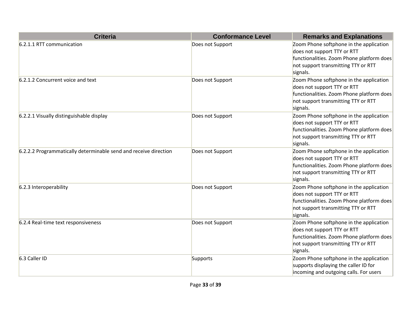| <b>Criteria</b>                                                  | <b>Conformance Level</b> | <b>Remarks and Explanations</b>                                                                                                                                        |
|------------------------------------------------------------------|--------------------------|------------------------------------------------------------------------------------------------------------------------------------------------------------------------|
| 6.2.1.1 RTT communication                                        | Does not Support         | Zoom Phone softphone in the application<br>does not support TTY or RTT<br>functionalities. Zoom Phone platform does<br>not support transmitting TTY or RTT<br>signals. |
| 6.2.1.2 Concurrent voice and text                                | Does not Support         | Zoom Phone softphone in the application<br>does not support TTY or RTT<br>functionalities. Zoom Phone platform does<br>not support transmitting TTY or RTT<br>signals. |
| 6.2.2.1 Visually distinguishable display                         | Does not Support         | Zoom Phone softphone in the application<br>does not support TTY or RTT<br>functionalities. Zoom Phone platform does<br>not support transmitting TTY or RTT<br>signals. |
| 6.2.2.2 Programmatically determinable send and receive direction | Does not Support         | Zoom Phone softphone in the application<br>does not support TTY or RTT<br>functionalities. Zoom Phone platform does<br>not support transmitting TTY or RTT<br>signals. |
| 6.2.3 Interoperability                                           | Does not Support         | Zoom Phone softphone in the application<br>does not support TTY or RTT<br>functionalities. Zoom Phone platform does<br>not support transmitting TTY or RTT<br>signals. |
| 6.2.4 Real-time text responsiveness                              | Does not Support         | Zoom Phone softphone in the application<br>does not support TTY or RTT<br>functionalities. Zoom Phone platform does<br>not support transmitting TTY or RTT<br>signals. |
| 6.3 Caller ID                                                    | Supports                 | Zoom Phone softphone in the application<br>supports displaying the caller ID for<br>incoming and outgoing calls. For users                                             |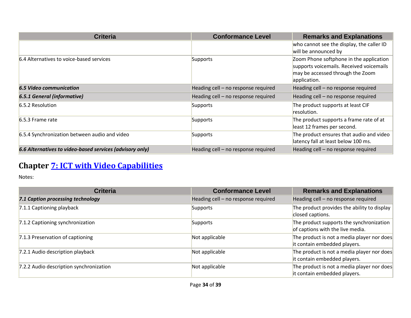| <b>Criteria</b>                                          | <b>Conformance Level</b>            | <b>Remarks and Explanations</b>           |
|----------------------------------------------------------|-------------------------------------|-------------------------------------------|
|                                                          |                                     | who cannot see the display, the caller ID |
|                                                          |                                     | will be announced by                      |
| 6.4 Alternatives to voice-based services                 | Supports                            | Zoom Phone softphone in the application   |
|                                                          |                                     | supports voicemails. Received voicemails  |
|                                                          |                                     | may be accessed through the Zoom          |
|                                                          |                                     | application.                              |
| <b>6.5 Video communication</b>                           | Heading cell - no response required | Heading cell - no response required       |
| <b>6.5.1 General (informative)</b>                       | Heading cell - no response required | Heading cell - no response required       |
| 6.5.2 Resolution                                         | Supports                            | The product supports at least CIF         |
|                                                          |                                     | resolution.                               |
| $6.5.3$ Frame rate                                       | Supports                            | The product supports a frame rate of at   |
|                                                          |                                     | least 12 frames per second.               |
| 6.5.4 Synchronization between audio and video            | Supports                            | The product ensures that audio and video  |
|                                                          |                                     | latency fall at least below 100 ms.       |
| 6.6 Alternatives to video-based services (advisory only) | Heading cell - no response required | Heading cell - no response required       |

# **Chapter [7: ICT with Video Capabilities](http://www.etsi.org/deliver/etsi_en/301500_301599/301549/01.01.02_60/en_301549v010102p.pdf#page=31)**

| <b>Criteria</b>                         | <b>Conformance Level</b>            | <b>Remarks and Explanations</b>                                              |
|-----------------------------------------|-------------------------------------|------------------------------------------------------------------------------|
| 7.1 Caption processing technology       | Heading cell - no response required | Heading cell - no response required                                          |
| 7.1.1 Captioning playback               | Supports                            | The product provides the ability to display<br>closed captions.              |
| 7.1.2 Captioning synchronization        | Supports                            | The product supports the synchronization<br>of captions with the live media. |
| 7.1.3 Preservation of captioning        | Not applicable                      | The product is not a media player nor does<br>it contain embedded players.   |
| 7.2.1 Audio description playback        | Not applicable                      | The product is not a media player nor does<br>it contain embedded players.   |
| 7.2.2 Audio description synchronization | Not applicable                      | The product is not a media player nor does<br>it contain embedded players.   |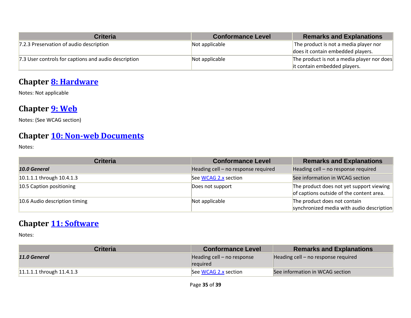| <b>Criteria</b>                                      | <b>Conformance Level</b> | <b>Remarks and Explanations</b>                                             |
|------------------------------------------------------|--------------------------|-----------------------------------------------------------------------------|
| 7.2.3 Preservation of audio description              | Not applicable           | The product is not a media player nor<br>does it contain embedded players.  |
| 7.3 User controls for captions and audio description | Not applicable           | The product is not a media player nor does<br>lit contain embedded players. |

### **Chapter [8: Hardware](http://www.etsi.org/deliver/etsi_en/301500_301599/301549/01.01.02_60/en_301549v010102p.pdf#page=32)**

Notes: Not applicable

### **Chapter [9: Web](http://www.etsi.org/deliver/etsi_en/301500_301599/301549/01.01.02_60/en_301549v010102p.pdf#page=39)**

Notes: (See WCAG section)

### **Chapter [10: Non-web Documents](http://www.etsi.org/deliver/etsi_en/301500_301599/301549/01.01.02_60/en_301549v010102p.pdf#page=43)**

Notes:

| <b>Criteria</b>               | <b>Conformance Level</b>            | <b>Remarks and Explanations</b>                                                      |
|-------------------------------|-------------------------------------|--------------------------------------------------------------------------------------|
| 10.0 General                  | Heading cell - no response required | Heading cell - no response required                                                  |
| 10.1.1.1 through 10.4.1.3     | See WCAG 2.x section                | See information in WCAG section                                                      |
| 10.5 Caption positioning      | Does not support                    | The product does not yet support viewing<br>of captions outside of the content area. |
| 10.6 Audio description timing | Not applicable                      | The product does not contain<br>synchronized media with audio description            |

### **Chapter [11: Software](http://www.etsi.org/deliver/etsi_en/301500_301599/301549/01.01.02_60/en_301549v010102p.pdf#page=53)**

| <b>Criteria</b>             | <b>Conformance Level</b>                 | <b>Remarks and Explanations</b>       |
|-----------------------------|------------------------------------------|---------------------------------------|
| 11.0 General                | Heading cell $-$ no response<br>required | Heading cell $-$ no response required |
| $11.1.1.1$ through 11.4.1.3 | See WCAG 2.x section                     | See information in WCAG section       |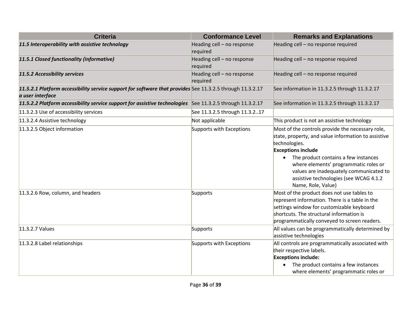| <b>Criteria</b>                                                                                                               | <b>Conformance Level</b>               | <b>Remarks and Explanations</b>                                                                                                                                                                                                                                                                                                                                |
|-------------------------------------------------------------------------------------------------------------------------------|----------------------------------------|----------------------------------------------------------------------------------------------------------------------------------------------------------------------------------------------------------------------------------------------------------------------------------------------------------------------------------------------------------------|
| 11.5 Interoperability with assistive technology                                                                               | Heading cell - no response<br>required | Heading cell - no response required                                                                                                                                                                                                                                                                                                                            |
| 11.5.1 Closed functionality (informative)                                                                                     | Heading cell - no response<br>required | Heading cell - no response required                                                                                                                                                                                                                                                                                                                            |
| 11.5.2 Accessibility services                                                                                                 | Heading cell - no response<br>required | Heading cell - no response required                                                                                                                                                                                                                                                                                                                            |
| 11.5.2.1 Platform accessibility service support for software that provides See 11.3.2.5 through 11.3.2.17<br>a user interface |                                        | See information in 11.3.2.5 through 11.3.2.17                                                                                                                                                                                                                                                                                                                  |
| 11.5.2.2 Platform accessibility service support for assistive technologies See 11.3.2.5 through 11.3.2.17                     |                                        | See information in 11.3.2.5 through 11.3.2.17                                                                                                                                                                                                                                                                                                                  |
| 11.3.2.3 Use of accessibility services                                                                                        | See 11.3.2.5 through 11.3.217          |                                                                                                                                                                                                                                                                                                                                                                |
| 11.3.2.4 Assistive technology                                                                                                 | Not applicable                         | This product is not an assistive technology                                                                                                                                                                                                                                                                                                                    |
| 11.3.2.5 Object information                                                                                                   | Supports with Exceptions               | Most of the controls provide the necessary role,<br>state, property, and value information to assistive<br>technologies.<br><b>Exceptions include</b><br>The product contains a few instances<br>$\bullet$<br>where elements' programmatic roles or<br>values are inadequately communicated to<br>assistive technologies (see WCAG 4.1.2<br>Name, Role, Value) |
| 11.3.2.6 Row, column, and headers                                                                                             | Supports                               | Most of the product does not use tables to<br>represent information. There is a table in the<br>settings window for customizable keyboard<br>shortcuts. The structural information is<br>programmatically conveyed to screen readers.                                                                                                                          |
| 11.3.2.7 Values                                                                                                               | Supports                               | All values can be programmatically determined by<br>assistive technologies                                                                                                                                                                                                                                                                                     |
| 11.3.2.8 Label relationships                                                                                                  | Supports with Exceptions               | All controls are programmatically associated with<br>their respective labels.<br><b>Exceptions include:</b><br>The product contains a few instances<br>where elements' programmatic roles or                                                                                                                                                                   |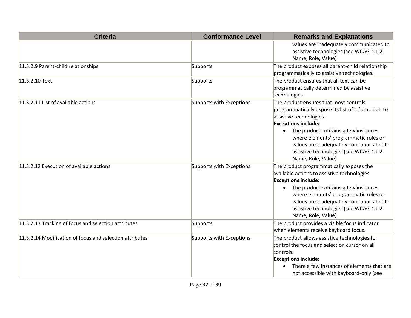| <b>Criteria</b>                                          | <b>Conformance Level</b> | <b>Remarks and Explanations</b>                                                                                                                                                                                                                                                                                                                   |
|----------------------------------------------------------|--------------------------|---------------------------------------------------------------------------------------------------------------------------------------------------------------------------------------------------------------------------------------------------------------------------------------------------------------------------------------------------|
|                                                          |                          | values are inadequately communicated to<br>assistive technologies (see WCAG 4.1.2<br>Name, Role, Value)                                                                                                                                                                                                                                           |
| 11.3.2.9 Parent-child relationships                      | Supports                 | The product exposes all parent-child relationship<br>programmatically to assistive technologies.                                                                                                                                                                                                                                                  |
| 11.3.2.10 Text                                           | Supports                 | The product ensures that all text can be<br>programmatically determined by assistive<br>technologies.                                                                                                                                                                                                                                             |
| 11.3.2.11 List of available actions                      | Supports with Exceptions | The product ensures that most controls<br>programmatically expose its list of information to<br>assistive technologies.<br><b>Exceptions include:</b><br>The product contains a few instances<br>where elements' programmatic roles or<br>values are inadequately communicated to<br>assistive technologies (see WCAG 4.1.2<br>Name, Role, Value) |
| 11.3.2.12 Execution of available actions                 | Supports with Exceptions | The product programmatically exposes the<br>available actions to assistive technologies.<br><b>Exceptions include:</b><br>The product contains a few instances<br>$\bullet$<br>where elements' programmatic roles or<br>values are inadequately communicated to<br>assistive technologies (see WCAG 4.1.2<br>Name, Role, Value)                   |
| 11.3.2.13 Tracking of focus and selection attributes     | Supports                 | The product provides a visible focus indicator<br>when elements receive keyboard focus.                                                                                                                                                                                                                                                           |
| 11.3.2.14 Modification of focus and selection attributes | Supports with Exceptions | The product allows assistive technologies to<br>control the focus and selection cursor on all<br>controls.<br><b>Exceptions include:</b><br>There a few instances of elements that are<br>not accessible with keyboard-only (see                                                                                                                  |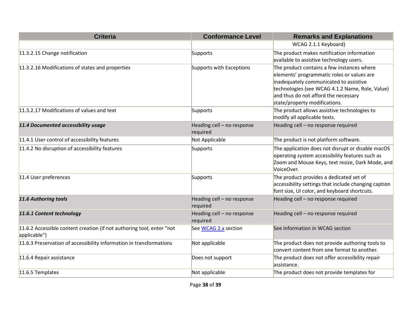| <b>Criteria</b>                                                                       | <b>Conformance Level</b>               | <b>Remarks and Explanations</b>                                                                                                                                                                                                                                |
|---------------------------------------------------------------------------------------|----------------------------------------|----------------------------------------------------------------------------------------------------------------------------------------------------------------------------------------------------------------------------------------------------------------|
|                                                                                       |                                        | WCAG 2.1.1 Keyboard)                                                                                                                                                                                                                                           |
| 11.3.2.15 Change notification                                                         | Supports                               | The product makes notification information<br>available to assistive technology users.                                                                                                                                                                         |
| 11.3.2.16 Modifications of states and properties                                      | Supports with Exceptions               | The product contains a few instances where<br>elements' programmatic roles or values are<br>inadequately communicated to assistive<br>technologies (see WCAG 4.1.2 Name, Role, Value)<br>and thus do not afford the necessary<br>state/property modifications. |
| 11.3.2.17 Modifications of values and text                                            | Supports                               | The product allows assistive technologies to<br>modify all applicable texts.                                                                                                                                                                                   |
| 11.4 Documented accessibility usage                                                   | Heading cell - no response<br>required | Heading cell - no response required                                                                                                                                                                                                                            |
| 11.4.1 User control of accessibility features                                         | Not Applicable                         | The product is not platform software.                                                                                                                                                                                                                          |
| 11.4.2 No disruption of accessibility features                                        | Supports                               | The application does not disrupt or disable macOS<br>operating system accessibility features such as<br>Zoom and Mouse Keys, text resize, Dark Mode, and<br>VoiceOver.                                                                                         |
| 11.4 User preferences                                                                 | Supports                               | The product provides a dedicated set of<br>accessibility settings that include changing caption<br>font size, UI color, and keyboard shortcuts.                                                                                                                |
| 11.6 Authoring tools                                                                  | Heading cell - no response<br>required | Heading cell - no response required                                                                                                                                                                                                                            |
| 11.6.1 Content technology                                                             | Heading cell - no response<br>required | Heading cell - no response required                                                                                                                                                                                                                            |
| 11.6.2 Accessible content creation (if not authoring tool, enter "not<br>applicable") | See WCAG 2.x section                   | See information in WCAG section                                                                                                                                                                                                                                |
| 11.6.3 Preservation of accessibility information in transformations                   | Not applicable                         | The product does not provide authoring tools to<br>convert content from one format to another.                                                                                                                                                                 |
| 11.6.4 Repair assistance                                                              | Does not support                       | The product does not offer accessibility repair<br>assistance.                                                                                                                                                                                                 |
| 11.6.5 Templates                                                                      | Not applicable                         | The product does not provide templates for                                                                                                                                                                                                                     |